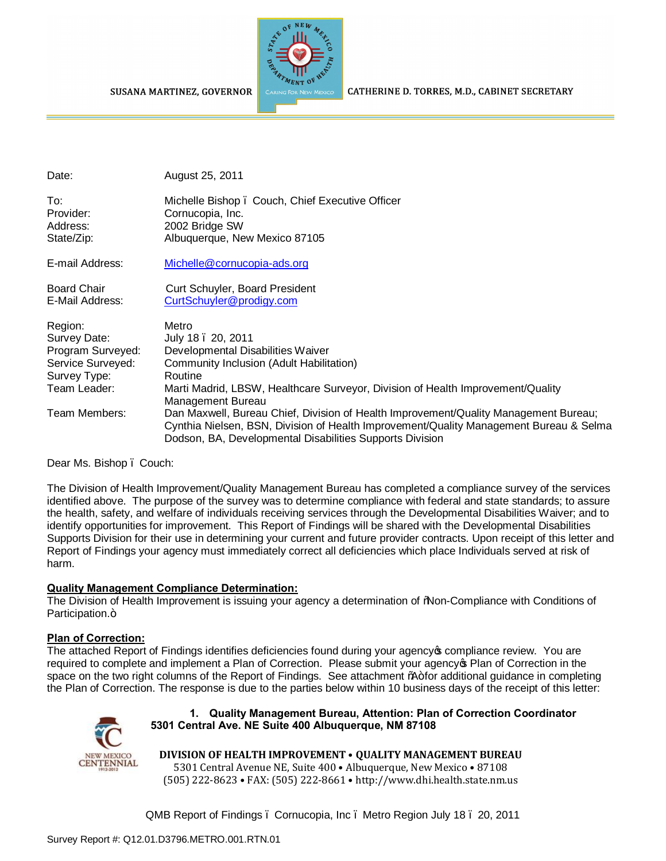SUSANA MARTINEZ, GOVERNOR



CATHERINE D. TORRES, M.D., CABINET SECRETARY

Date: August 25, 2011

| To∶             | Michelle Bishop. Couch, Chief Executive Officer |
|-----------------|-------------------------------------------------|
| Provider:       | Cornucopia, Inc.                                |
| Address:        | 2002 Bridge SW                                  |
| State/Zip:      | Albuquerque, New Mexico 87105                   |
| E-mail Address: | Michelle@cornucopia-ads.org                     |

Board Chair **Curt Schuyler, Board President** E-Mail Address: CurtSchuyler@prodigy.com

| Region:           | Metro                                                                                                                                                                                                                                      |
|-------------------|--------------------------------------------------------------------------------------------------------------------------------------------------------------------------------------------------------------------------------------------|
| Survey Date:      | July 18 . 20, 2011                                                                                                                                                                                                                         |
| Program Surveyed: | Developmental Disabilities Waiver                                                                                                                                                                                                          |
| Service Surveyed: | Community Inclusion (Adult Habilitation)                                                                                                                                                                                                   |
| Survey Type:      | Routine                                                                                                                                                                                                                                    |
| Team Leader:      | Marti Madrid, LBSW, Healthcare Surveyor, Division of Health Improvement/Quality<br>Management Bureau                                                                                                                                       |
| Team Members:     | Dan Maxwell, Bureau Chief, Division of Health Improvement/Quality Management Bureau;<br>Cynthia Nielsen, BSN, Division of Health Improvement/Quality Management Bureau & Selma<br>Dodson, BA, Developmental Disabilities Supports Division |

Dear Ms. Bishop. Couc[h:](mailto:Michelle@cornucopia-ads.org)

The Division of Health Improvement/Quality Management Bureau has completed a compliance survey of the services identified above. The p[urpose of the survey was to de](mailto:CurtSchuyler@prodigy.com)termine compliance with federal and state standards; to assure the health, safety, and welfare of individuals receiving services through the Developmental Disabilities Waiver; and to identify opportunities for improvement. This Report of Findings will be shared with the Developmental Disabilities Supports Division for their use in determining your current and future provider contracts. Upon receipt of this letter and Report of Findings your agency must immediately correct all deficiencies which place Individuals served at risk of harm.

#### **Quality Management Compliance Determination:**

The Division of Health Improvement is issuing your agency a determination of "Non-Compliance with Conditions of Participation.+

#### **Plan of Correction:**

The attached Report of Findings identifies deficiencies found during your agency of compliance review. You are required to complete and implement a Plan of Correction. Please submit your agency a Plan of Correction in the space on the two right columns of the Report of Findings. See attachment %+for additional guidance in completing the Plan of Correction. The response is due to the parties below within 10 business days of the receipt of this letter:



#### **1. Quality Management Bureau, Attention: Plan of Correction Coordinator 5301 Central Ave. NE Suite 400 Albuquerque, NM 87108**

**DIVISION OF HEALTH IMPROVEMENT** • **QUALITY MANAGEMENT BUREAU** 5301 Central Avenue NE, Suite 400 • Albuquerque, New Mexico • 87108 (505) 222-8623 • FAX: (505) 222-8661 • http://www.dhi.health.state.nm.us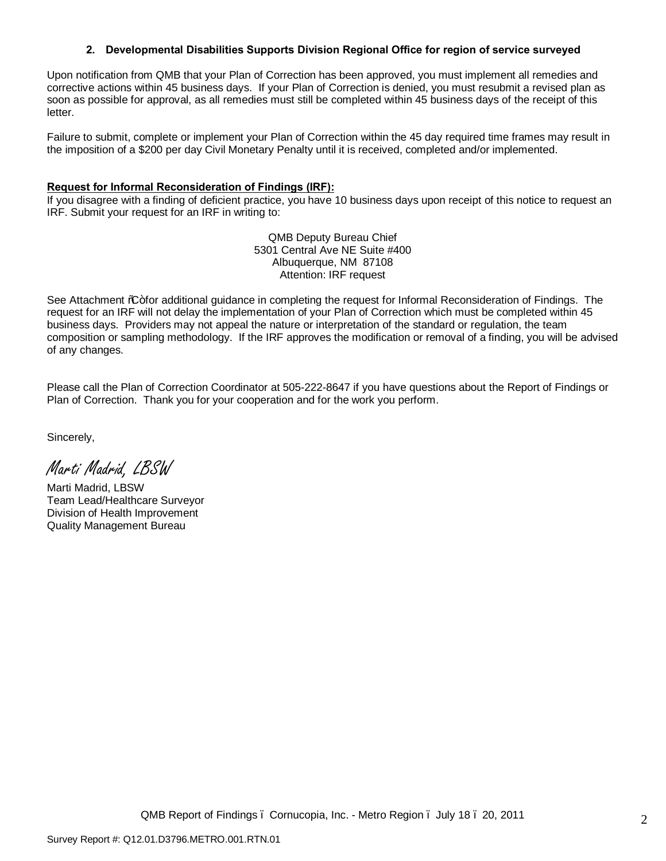#### **2. Developmental Disabilities Supports Division Regional Office for region of service surveyed**

Upon notification from QMB that your Plan of Correction has been approved, you must implement all remedies and corrective actions within 45 business days. If your Plan of Correction is denied, you must resubmit a revised plan as soon as possible for approval, as all remedies must still be completed within 45 business days of the receipt of this letter.

Failure to submit, complete or implement your Plan of Correction within the 45 day required time frames may result in the imposition of a \$200 per day Civil Monetary Penalty until it is received, completed and/or implemented.

#### **Request for Informal Reconsideration of Findings (IRF):**

If you disagree with a finding of deficient practice, you have 10 business days upon receipt of this notice to request an IRF. Submit your request for an IRF in writing to:

> QMB Deputy Bureau Chief 5301 Central Ave NE Suite #400 Albuquerque, NM 87108 Attention: IRF request

See Attachment %G+for additional guidance in completing the request for Informal Reconsideration of Findings. The request for an IRF will not delay the implementation of your Plan of Correction which must be completed within 45 business days. Providers may not appeal the nature or interpretation of the standard or regulation, the team composition or sampling methodology. If the IRF approves the modification or removal of a finding, you will be advised of any changes.

Please call the Plan of Correction Coordinator at 505-222-8647 if you have questions about the Report of Findings or Plan of Correction. Thank you for your cooperation and for the work you perform.

Sincerely,

Marti Madrid, LBSW

Marti Madrid, LBSW Team Lead/Healthcare Surveyor Division of Health Improvement Quality Management Bureau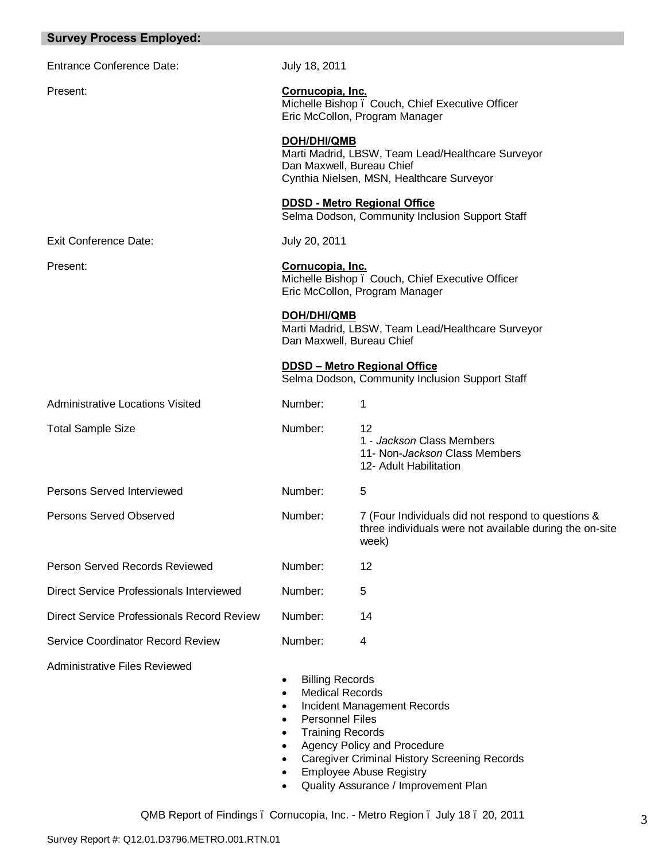| <b>Survey Process Employed:</b>            |                                                                                                                                |                                                                                                                                                                                             |  |
|--------------------------------------------|--------------------------------------------------------------------------------------------------------------------------------|---------------------------------------------------------------------------------------------------------------------------------------------------------------------------------------------|--|
| <b>Entrance Conference Date:</b>           | July 18, 2011                                                                                                                  |                                                                                                                                                                                             |  |
| Present:                                   | Cornucopia, Inc.<br>Michelle Bishop. Couch, Chief Executive Officer<br>Eric McCollon, Program Manager                          |                                                                                                                                                                                             |  |
|                                            | <b>DOH/DHI/QMB</b><br>Dan Maxwell, Bureau Chief                                                                                | Marti Madrid, LBSW, Team Lead/Healthcare Surveyor<br>Cynthia Nielsen, MSN, Healthcare Surveyor                                                                                              |  |
|                                            |                                                                                                                                | <b>DDSD - Metro Regional Office</b><br>Selma Dodson, Community Inclusion Support Staff                                                                                                      |  |
| <b>Exit Conference Date:</b>               | July 20, 2011                                                                                                                  |                                                                                                                                                                                             |  |
| Present:                                   | Cornucopia, Inc.                                                                                                               | Michelle Bishop. Couch, Chief Executive Officer<br>Eric McCollon, Program Manager                                                                                                           |  |
|                                            | DOH/DHI/QMB<br>Dan Maxwell, Bureau Chief                                                                                       | Marti Madrid, LBSW, Team Lead/Healthcare Surveyor                                                                                                                                           |  |
|                                            |                                                                                                                                | <b>DDSD - Metro Regional Office</b><br>Selma Dodson, Community Inclusion Support Staff                                                                                                      |  |
| <b>Administrative Locations Visited</b>    | Number:                                                                                                                        | 1                                                                                                                                                                                           |  |
| <b>Total Sample Size</b>                   | Number:                                                                                                                        | 12<br>1 - Jackson Class Members<br>11- Non- <i>Jackson</i> Class Members<br>12- Adult Habilitation                                                                                          |  |
| Persons Served Interviewed                 | Number:                                                                                                                        | 5                                                                                                                                                                                           |  |
| Persons Served Observed                    | Number:                                                                                                                        | 7 (Four Individuals did not respond to questions &<br>three individuals were not available during the on-site<br>week)                                                                      |  |
| Person Served Records Reviewed             | Number:                                                                                                                        | 12                                                                                                                                                                                          |  |
| Direct Service Professionals Interviewed   | Number:                                                                                                                        | 5                                                                                                                                                                                           |  |
| Direct Service Professionals Record Review | Number:                                                                                                                        | 14                                                                                                                                                                                          |  |
| Service Coordinator Record Review          | Number:                                                                                                                        | 4                                                                                                                                                                                           |  |
| <b>Administrative Files Reviewed</b>       | <b>Billing Records</b><br>٠<br><b>Medical Records</b><br>٠<br>٠<br><b>Personnel Files</b><br>٠<br><b>Training Records</b><br>٠ | Incident Management Records<br>Agency Policy and Procedure<br><b>Caregiver Criminal History Screening Records</b><br><b>Employee Abuse Registry</b><br>Quality Assurance / Improvement Plan |  |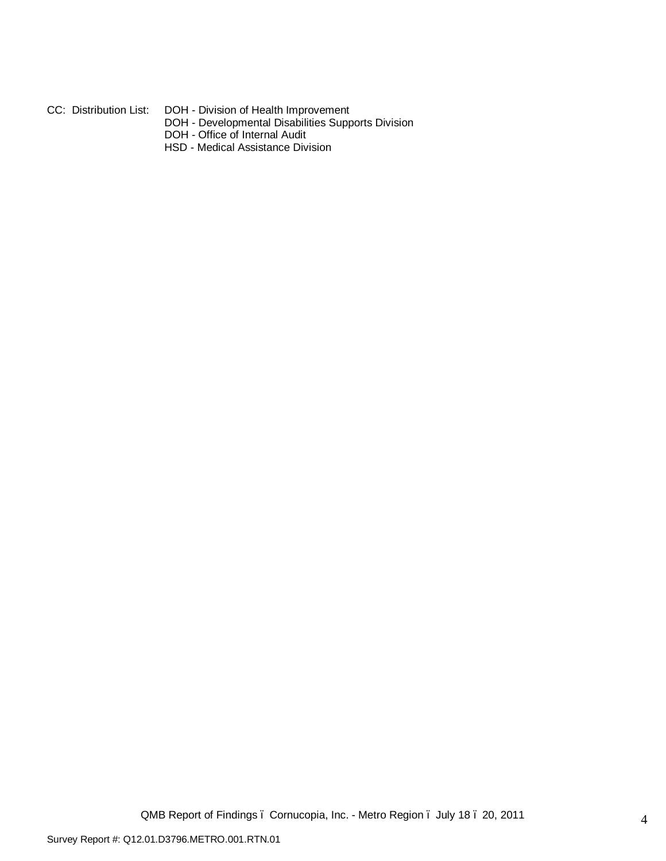CC: Distribution List: DOH - Division of Health Improvement

- DOH Developmental Disabilities Supports Division
- DOH Office of Internal Audit
- HSD Medical Assistance Division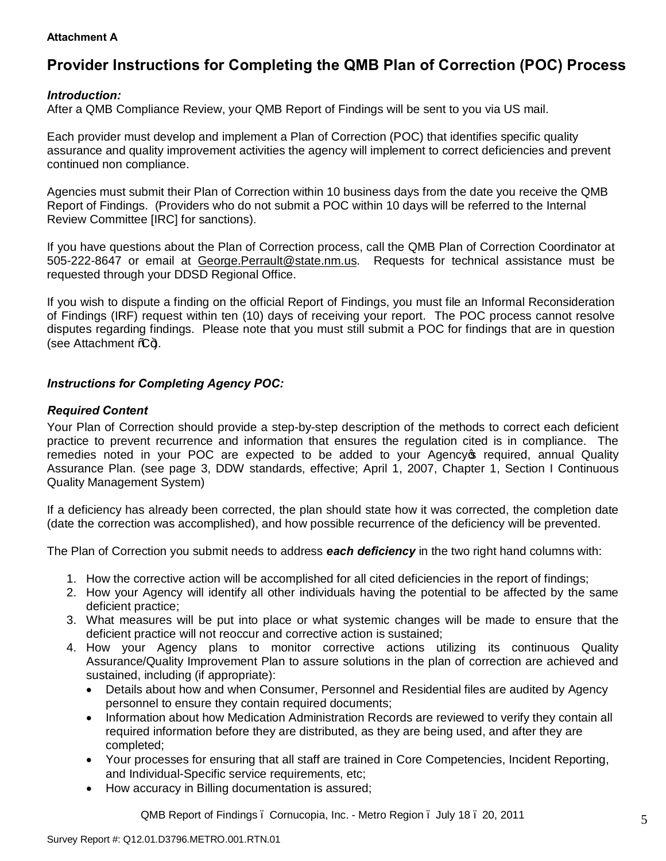## **Attachment A**

# **Provider Instructions for Completing the QMB Plan of Correction (POC) Process**

## *Introduction:*

After a QMB Compliance Review, your QMB Report of Findings will be sent to you via US mail.

Each provider must develop and implement a Plan of Correction (POC) that identifies specific quality assurance and quality improvement activities the agency will implement to correct deficiencies and prevent continued non compliance.

Agencies must submit their Plan of Correction within 10 business days from the date you receive the QMB Report of Findings. (Providers who do not submit a POC within 10 days will be referred to the Internal Review Committee [IRC] for sanctions).

If you have questions about the Plan of Correction process, call the QMB Plan of Correction Coordinator at 505-222-8647 or email at George.Perrault@state.nm.us. Requests for technical assistance must be requested through your DDSD Regional Office.

If you wish to dispute a finding on the official Report of Findings, you must file an Informal Reconsideration of Findings (IRF) request within ten (10) days of receiving your report. The POC process cannot resolve disputes regarding findings. Please note that you must still submit a POC for findings that are in question (see Attachment  $\mathcal{L}$ ).

# *Instructions for Completing Agency POC:*

### *Required Content*

Your Plan of Correction should provide a step-by-step description of the methods to correct each deficient practice to prevent recurrence and information that ensures the regulation cited is in compliance. The remedies noted in your POC are expected to be added to your Agency of required, annual Quality Assurance Plan. (see page 3, DDW standards, effective; April 1, 2007, Chapter 1, Section I Continuous Quality Management System)

If a deficiency has already been corrected, the plan should state how it was corrected, the completion date (date the correction was accomplished), and how possible recurrence of the deficiency will be prevented.

The Plan of Correction you submit needs to address *each deficiency* in the two right hand columns with:

- 1. How the corrective action will be accomplished for all cited deficiencies in the report of findings;
- 2. How your Agency will identify all other individuals having the potential to be affected by the same deficient practice;
- 3. What measures will be put into place or what systemic changes will be made to ensure that the deficient practice will not reoccur and corrective action is sustained;
- 4. How your Agency plans to monitor corrective actions utilizing its continuous Quality Assurance/Quality Improvement Plan to assure solutions in the plan of correction are achieved and sustained, including (if appropriate):
	- · Details about how and when Consumer, Personnel and Residential files are audited by Agency personnel to ensure they contain required documents;
	- · Information about how Medication Administration Records are reviewed to verify they contain all required information before they are distributed, as they are being used, and after they are completed;
	- · Your processes for ensuring that all staff are trained in Core Competencies, Incident Reporting, and Individual-Specific service requirements, etc;
	- · How accuracy in Billing documentation is assured;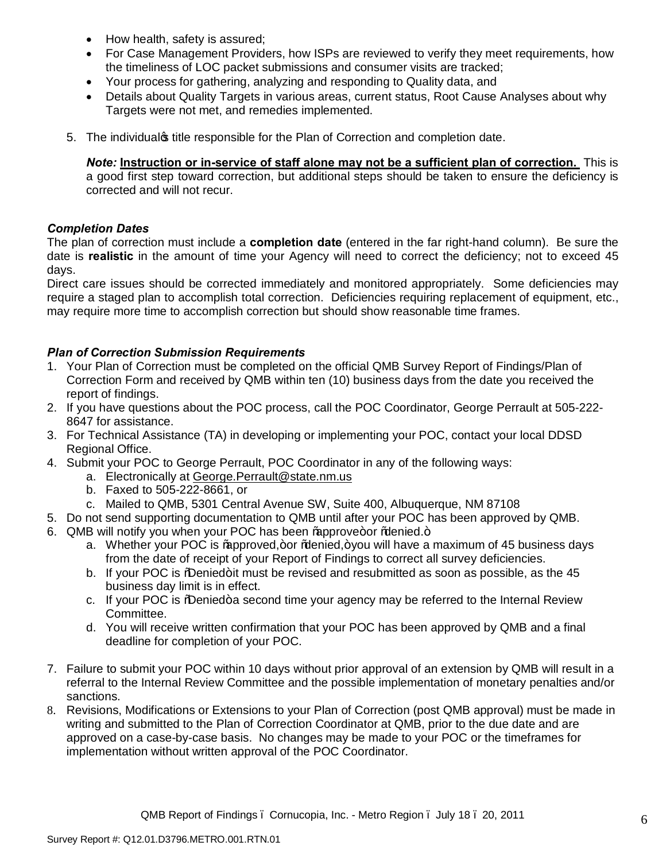- How health, safety is assured;
- · For Case Management Providers, how ISPs are reviewed to verify they meet requirements, how the timeliness of LOC packet submissions and consumer visits are tracked;
- · Your process for gathering, analyzing and responding to Quality data, and
- · Details about Quality Targets in various areas, current status, Root Cause Analyses about why Targets were not met, and remedies implemented.
- 5. The individual's title responsible for the Plan of Correction and completion date.

*Note:* **Instruction or in-service of staff alone may not be a sufficient plan of correction.** This is a good first step toward correction, but additional steps should be taken to ensure the deficiency is corrected and will not recur.

### *Completion Dates*

The plan of correction must include a **completion date** (entered in the far right-hand column). Be sure the date is **realistic** in the amount of time your Agency will need to correct the deficiency; not to exceed 45 days.

Direct care issues should be corrected immediately and monitored appropriately. Some deficiencies may require a staged plan to accomplish total correction. Deficiencies requiring replacement of equipment, etc., may require more time to accomplish correction but should show reasonable time frames.

# *Plan of Correction Submission Requirements*

- 1. Your Plan of Correction must be completed on the official QMB Survey Report of Findings/Plan of Correction Form and received by QMB within ten (10) business days from the date you received the report of findings.
- 2. If you have questions about the POC process, call the POC Coordinator, George Perrault at 505-222- 8647 for assistance.
- 3. For Technical Assistance (TA) in developing or implementing your POC, contact your local DDSD Regional Office.
- 4. Submit your POC to George Perrault, POC Coordinator in any of the following ways:
	- a. Electronically at George.Perrault@state.nm.us
	- b. Faxed to 505-222-8661, or
	- c. Mailed to QMB, 5301 Central Avenue SW, Suite 400, Albuquerque, NM 87108
- 5. Do not send supporting documentation to QMB until after your POC has been approved by QMB.
- 6. QMB will notify you when your POC has been % approve+or % denied.+
	- a. Whether your POC is  $%$  approved, +or  $%$  and  $e$ , +you will have a maximum of 45 business days from the date of receipt of your Report of Findings to correct all survey deficiencies.
	- b. If your POC is % Denied+it must be revised and resubmitted as soon as possible, as the 45 business day limit is in effect.
	- c. If your POC is % Denied + a second time your agency may be referred to the Internal Review Committee.
	- d. You will receive written confirmation that your POC has been approved by QMB and a final deadline for completion of your POC.
- 7. Failure to submit your [POC within 10 days without prio](mailto:George.Perrault@state.nm.us)r approval of an extension by QMB will result in a referral to the Internal Review Committee and the possible implementation of monetary penalties and/or sanctions.
- 8. Revisions, Modifications or Extensions to your Plan of Correction (post QMB approval) must be made in writing and submitted to the Plan of Correction Coordinator at QMB, prior to the due date and are approved on a case-by-case basis. No changes may be made to your POC or the timeframes for implementation without written approval of the POC Coordinator.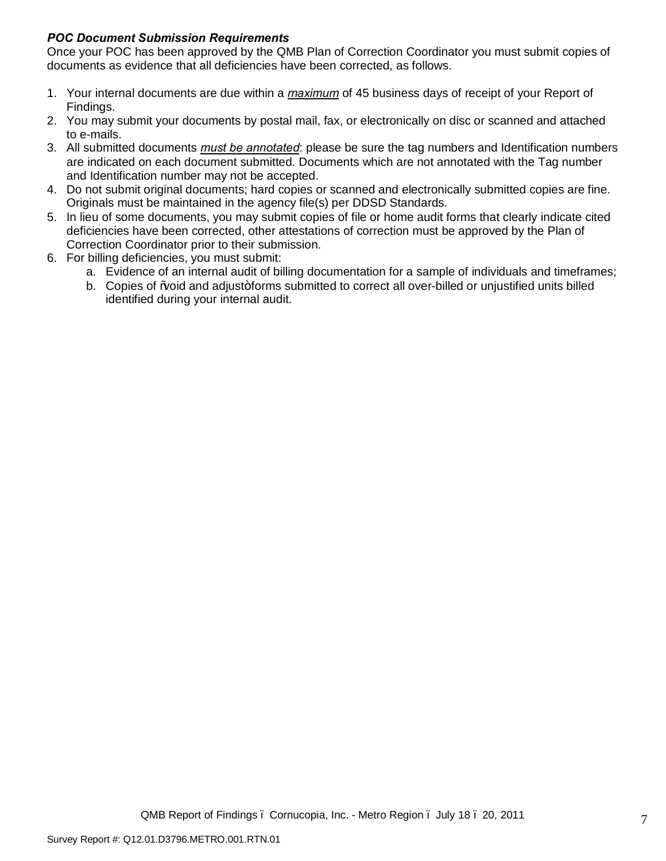# *POC Document Submission Requirements*

Once your POC has been approved by the QMB Plan of Correction Coordinator you must submit copies of documents as evidence that all deficiencies have been corrected, as follows.

- 1. Your internal documents are due within a *maximum* of 45 business days of receipt of your Report of Findings.
- 2. You may submit your documents by postal mail, fax, or electronically on disc or scanned and attached to e-mails.
- 3. All submitted documents *must be annotated*: please be sure the tag numbers and Identification numbers are indicated on each document submitted. Documents which are not annotated with the Tag number and Identification number may not be accepted.
- 4. Do not submit original documents; hard copies or scanned and electronically submitted copies are fine. Originals must be maintained in the agency file(s) per DDSD Standards.
- 5. In lieu of some documents, you may submit copies of file or home audit forms that clearly indicate cited deficiencies have been corrected, other attestations of correction must be approved by the Plan of Correction Coordinator prior to their submission.
- 6. For billing deficiencies, you must submit:
	- a. Evidence of an internal audit of billing documentation for a sample of individuals and timeframes;
	- b. Copies of Woid and adjust+forms submitted to correct all over-billed or unjustified units billed identified during your internal audit.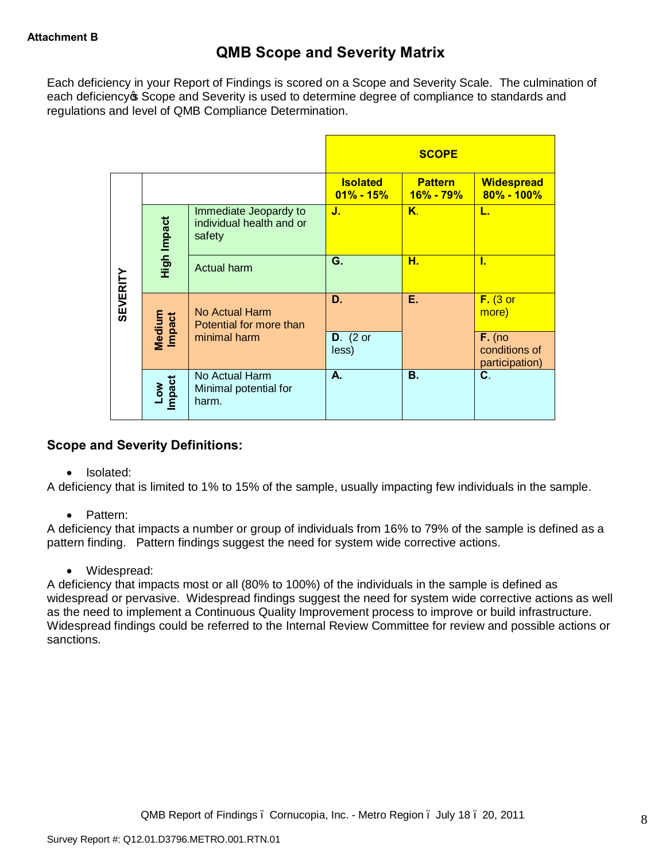Each deficiency in your Report of Findings is scored on a Scope and Severity Scale. The culmination of each deficiency of Scope and Severity is used to determine degree of compliance to standards and regulations and level of QMB Compliance Determination.

|                 |                  |                                                             |                                  | <b>SCOPE</b>                    |                                             |
|-----------------|------------------|-------------------------------------------------------------|----------------------------------|---------------------------------|---------------------------------------------|
|                 |                  |                                                             | <b>Isolated</b><br>$01\% - 15\%$ | <b>Pattern</b><br>$16\% - 79\%$ | <b>Widespread</b><br>$80\% - 100\%$         |
|                 | High Impact      | Immediate Jeopardy to<br>individual health and or<br>safety | J.                               | Κ.                              | L.                                          |
|                 |                  | <b>Actual harm</b>                                          | G.                               | н.                              | I.                                          |
| <b>SEVERITY</b> | Medium<br>Impact | No Actual Harm<br>Potential for more than                   | D.                               | Е.                              | $F.$ (3 or<br>more)                         |
|                 |                  | minimal harm                                                | $D.$ (2 or<br>less)              |                                 | $F.$ (no<br>conditions of<br>participation) |
|                 | Low<br>Impact    | No Actual Harm<br>Minimal potential for<br>harm.            | А.                               | <b>B.</b>                       | C.                                          |

# **Scope and Severity Definitions:**

· Isolated:

A deficiency that is limited to 1% to 15% of the sample, usually impacting few individuals in the sample.

· Pattern:

A deficiency that impacts a number or group of individuals from 16% to 79% of the sample is defined as a pattern finding. Pattern findings suggest the need for system wide corrective actions.

· Widespread:

A deficiency that impacts most or all (80% to 100%) of the individuals in the sample is defined as widespread or pervasive. Widespread findings suggest the need for system wide corrective actions as well as the need to implement a Continuous Quality Improvement process to improve or build infrastructure. Widespread findings could be referred to the Internal Review Committee for review and possible actions or sanctions.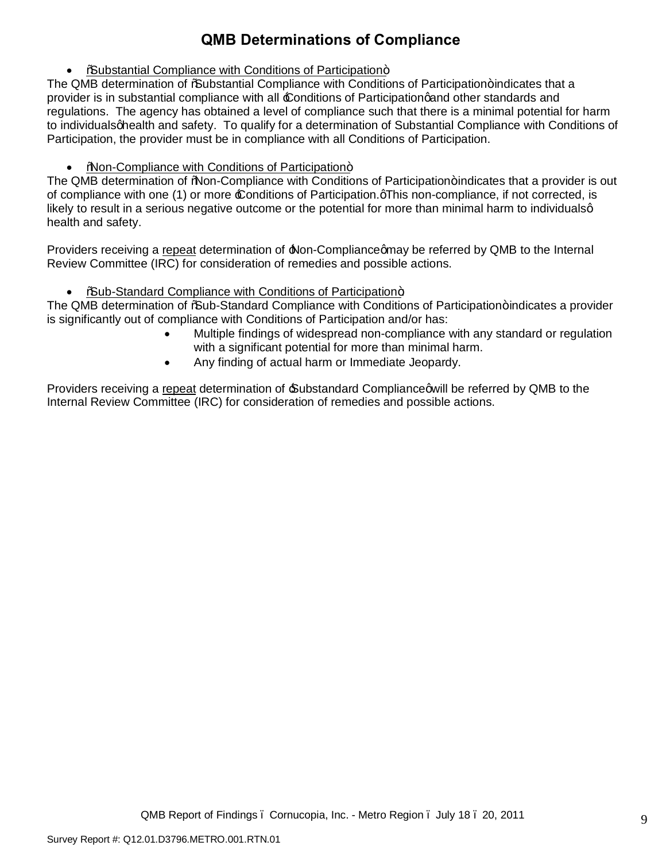# **QMB Determinations of Compliance**

• **%**Substantial Compliance with Conditions of Participation+

The QMB determination of % abstantial Compliance with Conditions of Participation+indicates that a provider is in substantial compliance with all £onditions of Participationgand other standards and regulations. The agency has obtained a level of compliance such that there is a minimal potential for harm to individuals onealth and safety. To qualify for a determination of Substantial Compliance with Conditions of Participation, the provider must be in compliance with all Conditions of Participation.

• %Non-Compliance with Conditions of Participation+

The QMB determination of "Non-Compliance with Conditions of Participation+indicates that a provider is out of compliance with one (1) or more £ onditions of Participation.  $qThis$  non-compliance, if not corrected, is likely to result in a serious negative outcome or the potential for more than minimal harm to individualsg health and safety.

Providers receiving a repeat determination of  $\Delta$ Non-Compliancegmay be referred by QMB to the Internal Review Committee (IRC) for consideration of remedies and possible actions.

• %Sub-Standard Compliance with Conditions of Participation+

The QMB determination of % aub-Standard Compliance with Conditions of Participation+ indicates a provider is significantly out of compliance with Conditions of Participation and/or has:

- · Multiple findings of widespread non-compliance with any standard or regulation with a significant potential for more than minimal harm.
- · Any finding of actual harm or Immediate Jeopardy.

Providers receiving a repeat determination of  $\triangle$ ubstandard Complianceqwill be referred by QMB to the Internal Review Committee (IRC) for consideration of remedies and possible actions.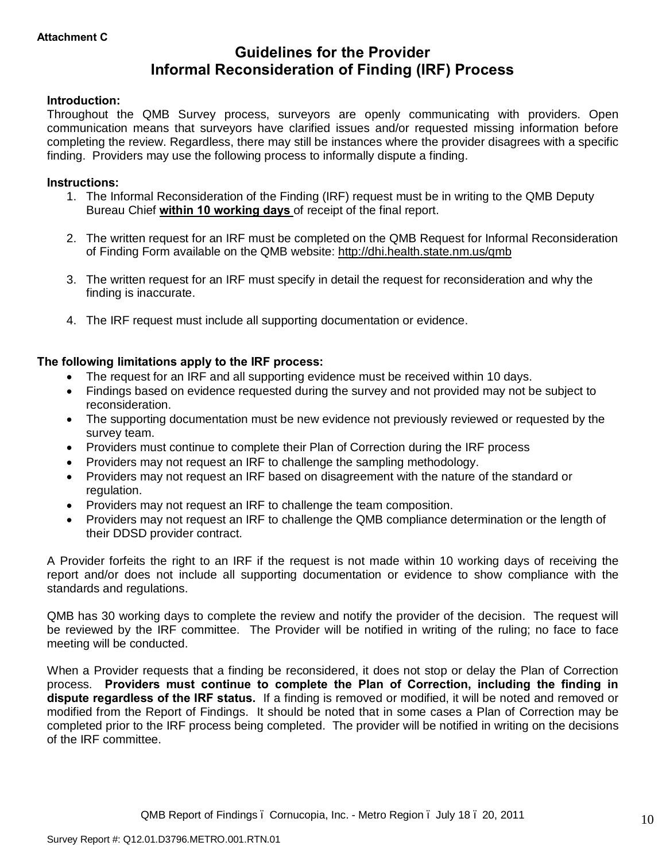# **Guidelines for the Provider Informal Reconsideration of Finding (IRF) Process**

#### **Introduction:**

Throughout the QMB Survey process, surveyors are openly communicating with providers. Open communication means that surveyors have clarified issues and/or requested missing information before completing the review. Regardless, there may still be instances where the provider disagrees with a specific finding. Providers may use the following process to informally dispute a finding.

#### **Instructions:**

- 1. The Informal Reconsideration of the Finding (IRF) request must be in writing to the QMB Deputy Bureau Chief **within 10 working days** of receipt of the final report.
- 2. The written request for an IRF must be completed on the QMB Request for Informal Reconsideration of Finding Form available on the QMB website: http://dhi.health.state.nm.us/qmb
- 3. The written request for an IRF must specify in detail the request for reconsideration and why the finding is inaccurate.
- 4. The IRF request must include all supporting documentation or evidence.

### **The following limitations apply to the IRF process:**

- The request for an IRF and all supporting evidence must be received within 10 days.
- · Findings based on evidence requested during the survey and not provided may not be subject to reconsideration.
- · The supporting documentation must be new evidence not previously reviewed or requested by the survey team.
- · Providers must continue to complete their Plan [of Correction during the IRF proce](http://dhi.health.state.nm.us/qmb)ss
- · Providers may not request an IRF to challenge the sampling methodology.
- · Providers may not request an IRF based on disagreement with the nature of the standard or regulation.
- · Providers may not request an IRF to challenge the team composition.
- · Providers may not request an IRF to challenge the QMB compliance determination or the length of their DDSD provider contract.

A Provider forfeits the right to an IRF if the request is not made within 10 working days of receiving the report and/or does not include all supporting documentation or evidence to show compliance with the standards and regulations.

QMB has 30 working days to complete the review and notify the provider of the decision. The request will be reviewed by the IRF committee. The Provider will be notified in writing of the ruling; no face to face meeting will be conducted.

When a Provider requests that a finding be reconsidered, it does not stop or delay the Plan of Correction process. **Providers must continue to complete the Plan of Correction, including the finding in dispute regardless of the IRF status.** If a finding is removed or modified, it will be noted and removed or modified from the Report of Findings. It should be noted that in some cases a Plan of Correction may be completed prior to the IRF process being completed. The provider will be notified in writing on the decisions of the IRF committee.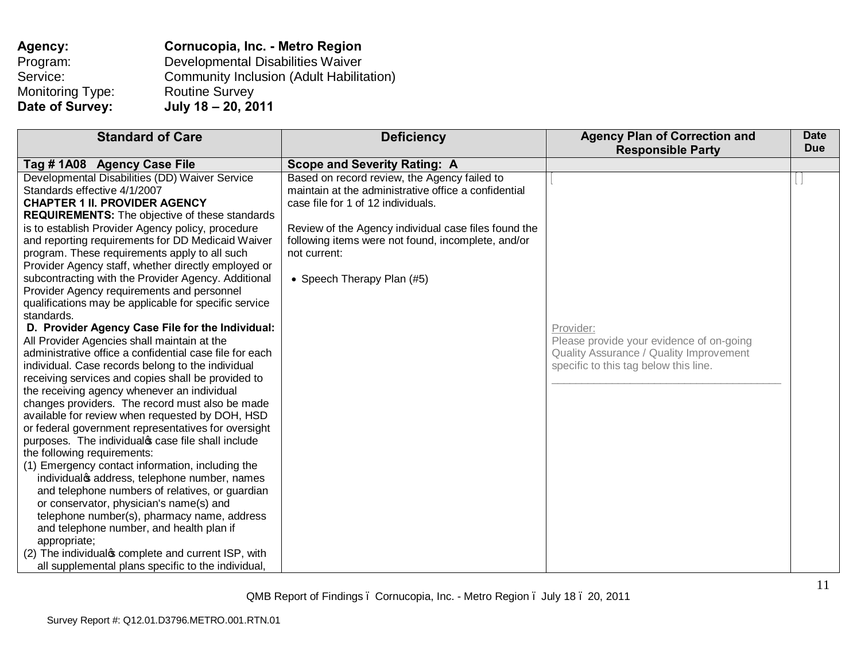| Agency:                 | Cornucopia, Inc. - Metro Region          |
|-------------------------|------------------------------------------|
| Program:                | Developmental Disabilities Waiver        |
| Service:                | Community Inclusion (Adult Habilitation) |
| <b>Monitoring Type:</b> | <b>Routine Survey</b>                    |
| Date of Survey:         | July 18 - 20, 2011                       |

| <b>Standard of Care</b>                                                                                                                                                                                                                                                                                                                                                                                                                                                                                                                                                                                                                                                                                                                                                                                                                                                                                                                                                                                                                                                                                                                                                                                                                                                                                                                                                                                                                                                                                                                                                            | <b>Deficiency</b>                                                                                                                                                                                                                                                                                      | <b>Agency Plan of Correction and</b><br><b>Responsible Party</b>                                                                          | <b>Date</b><br><b>Due</b> |
|------------------------------------------------------------------------------------------------------------------------------------------------------------------------------------------------------------------------------------------------------------------------------------------------------------------------------------------------------------------------------------------------------------------------------------------------------------------------------------------------------------------------------------------------------------------------------------------------------------------------------------------------------------------------------------------------------------------------------------------------------------------------------------------------------------------------------------------------------------------------------------------------------------------------------------------------------------------------------------------------------------------------------------------------------------------------------------------------------------------------------------------------------------------------------------------------------------------------------------------------------------------------------------------------------------------------------------------------------------------------------------------------------------------------------------------------------------------------------------------------------------------------------------------------------------------------------------|--------------------------------------------------------------------------------------------------------------------------------------------------------------------------------------------------------------------------------------------------------------------------------------------------------|-------------------------------------------------------------------------------------------------------------------------------------------|---------------------------|
| Tag #1A08 Agency Case File                                                                                                                                                                                                                                                                                                                                                                                                                                                                                                                                                                                                                                                                                                                                                                                                                                                                                                                                                                                                                                                                                                                                                                                                                                                                                                                                                                                                                                                                                                                                                         | <b>Scope and Severity Rating: A</b>                                                                                                                                                                                                                                                                    |                                                                                                                                           |                           |
| Developmental Disabilities (DD) Waiver Service<br>Standards effective 4/1/2007<br><b>CHAPTER 1 II. PROVIDER AGENCY</b><br><b>REQUIREMENTS:</b> The objective of these standards<br>is to establish Provider Agency policy, procedure<br>and reporting requirements for DD Medicaid Waiver<br>program. These requirements apply to all such<br>Provider Agency staff, whether directly employed or<br>subcontracting with the Provider Agency. Additional<br>Provider Agency requirements and personnel<br>qualifications may be applicable for specific service<br>standards.<br>D. Provider Agency Case File for the Individual:<br>All Provider Agencies shall maintain at the<br>administrative office a confidential case file for each<br>individual. Case records belong to the individual<br>receiving services and copies shall be provided to<br>the receiving agency whenever an individual<br>changes providers. The record must also be made<br>available for review when requested by DOH, HSD<br>or federal government representatives for oversight<br>purposes. The individualos case file shall include<br>the following requirements:<br>(1) Emergency contact information, including the<br>individual \$ address, telephone number, names<br>and telephone numbers of relatives, or guardian<br>or conservator, physician's name(s) and<br>telephone number(s), pharmacy name, address<br>and telephone number, and health plan if<br>appropriate;<br>(2) The individual scomplete and current ISP, with<br>all supplemental plans specific to the individual, | Based on record review, the Agency failed to<br>maintain at the administrative office a confidential<br>case file for 1 of 12 individuals.<br>Review of the Agency individual case files found the<br>following items were not found, incomplete, and/or<br>not current:<br>• Speech Therapy Plan (#5) | Provider:<br>Please provide your evidence of on-going<br>Quality Assurance / Quality Improvement<br>specific to this tag below this line. |                           |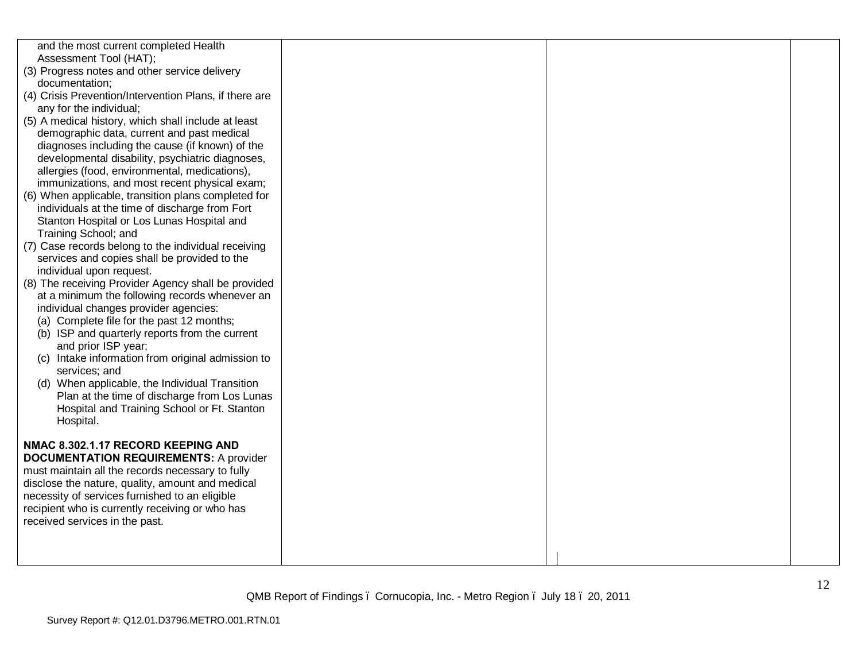| and the most current completed Health<br>Assessment Tool (HAT);                                      |  |  |
|------------------------------------------------------------------------------------------------------|--|--|
| (3) Progress notes and other service delivery                                                        |  |  |
| documentation;                                                                                       |  |  |
| (4) Crisis Prevention/Intervention Plans, if there are                                               |  |  |
| any for the individual;                                                                              |  |  |
| (5) A medical history, which shall include at least                                                  |  |  |
| demographic data, current and past medical                                                           |  |  |
| diagnoses including the cause (if known) of the                                                      |  |  |
| developmental disability, psychiatric diagnoses,                                                     |  |  |
| allergies (food, environmental, medications),                                                        |  |  |
| immunizations, and most recent physical exam;                                                        |  |  |
| (6) When applicable, transition plans completed for                                                  |  |  |
| individuals at the time of discharge from Fort                                                       |  |  |
| Stanton Hospital or Los Lunas Hospital and                                                           |  |  |
| Training School; and                                                                                 |  |  |
| (7) Case records belong to the individual receiving                                                  |  |  |
| services and copies shall be provided to the                                                         |  |  |
| individual upon request.                                                                             |  |  |
| (8) The receiving Provider Agency shall be provided                                                  |  |  |
| at a minimum the following records whenever an                                                       |  |  |
| individual changes provider agencies:                                                                |  |  |
| (a) Complete file for the past 12 months;                                                            |  |  |
| (b) ISP and quarterly reports from the current                                                       |  |  |
| and prior ISP year;                                                                                  |  |  |
| (c) Intake information from original admission to                                                    |  |  |
| services; and                                                                                        |  |  |
| (d) When applicable, the Individual Transition                                                       |  |  |
| Plan at the time of discharge from Los Lunas                                                         |  |  |
| Hospital and Training School or Ft. Stanton                                                          |  |  |
| Hospital.                                                                                            |  |  |
|                                                                                                      |  |  |
| NMAC 8.302.1.17 RECORD KEEPING AND                                                                   |  |  |
| <b>DOCUMENTATION REQUIREMENTS: A provider</b>                                                        |  |  |
| must maintain all the records necessary to fully<br>disclose the nature, quality, amount and medical |  |  |
| necessity of services furnished to an eligible                                                       |  |  |
| recipient who is currently receiving or who has                                                      |  |  |
| received services in the past.                                                                       |  |  |
|                                                                                                      |  |  |
|                                                                                                      |  |  |
|                                                                                                      |  |  |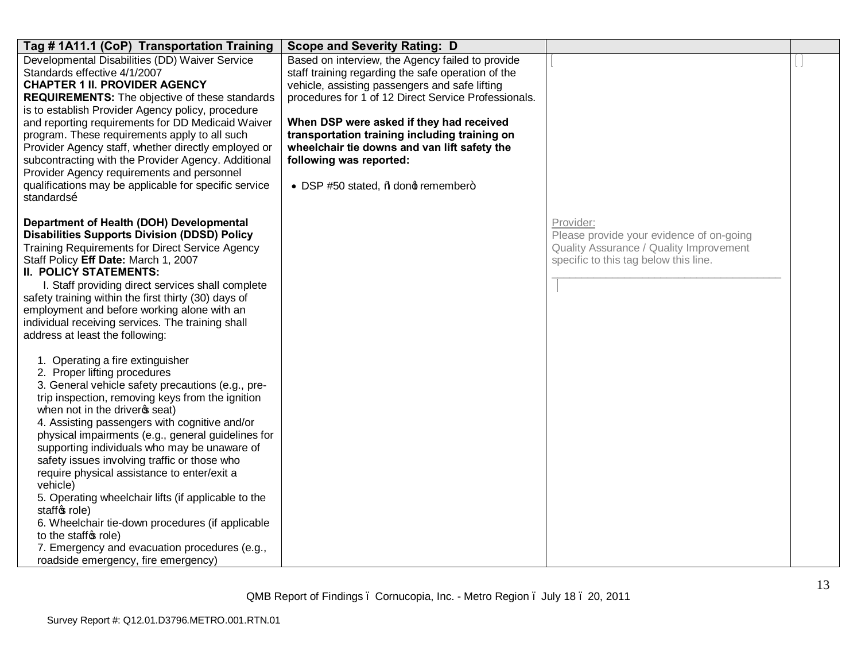| Tag # 1A11.1 (CoP) Transportation Training                                                         | <b>Scope and Severity Rating: D</b>                                                       |                                          |  |
|----------------------------------------------------------------------------------------------------|-------------------------------------------------------------------------------------------|------------------------------------------|--|
| Developmental Disabilities (DD) Waiver Service                                                     | Based on interview, the Agency failed to provide                                          |                                          |  |
| Standards effective 4/1/2007                                                                       | staff training regarding the safe operation of the                                        |                                          |  |
| <b>CHAPTER 1 II. PROVIDER AGENCY</b>                                                               | vehicle, assisting passengers and safe lifting                                            |                                          |  |
| <b>REQUIREMENTS:</b> The objective of these standards                                              | procedures for 1 of 12 Direct Service Professionals.                                      |                                          |  |
| is to establish Provider Agency policy, procedure                                                  |                                                                                           |                                          |  |
| and reporting requirements for DD Medicaid Waiver<br>program. These requirements apply to all such | When DSP were asked if they had received<br>transportation training including training on |                                          |  |
| Provider Agency staff, whether directly employed or                                                | wheelchair tie downs and van lift safety the                                              |                                          |  |
| subcontracting with the Provider Agency. Additional                                                | following was reported:                                                                   |                                          |  |
| Provider Agency requirements and personnel                                                         |                                                                                           |                                          |  |
| qualifications may be applicable for specific service                                              | • DSP #50 stated, %dond remember+                                                         |                                          |  |
| standardsõ                                                                                         |                                                                                           |                                          |  |
|                                                                                                    |                                                                                           |                                          |  |
| Department of Health (DOH) Developmental                                                           |                                                                                           | Provider:                                |  |
| <b>Disabilities Supports Division (DDSD) Policy</b>                                                |                                                                                           | Please provide your evidence of on-going |  |
| <b>Training Requirements for Direct Service Agency</b>                                             |                                                                                           | Quality Assurance / Quality Improvement  |  |
| Staff Policy Eff Date: March 1, 2007                                                               |                                                                                           | specific to this tag below this line.    |  |
| <b>II. POLICY STATEMENTS:</b>                                                                      |                                                                                           |                                          |  |
| I. Staff providing direct services shall complete                                                  |                                                                                           |                                          |  |
| safety training within the first thirty (30) days of                                               |                                                                                           |                                          |  |
| employment and before working alone with an                                                        |                                                                                           |                                          |  |
| individual receiving services. The training shall<br>address at least the following:               |                                                                                           |                                          |  |
|                                                                                                    |                                                                                           |                                          |  |
| 1. Operating a fire extinguisher                                                                   |                                                                                           |                                          |  |
| 2. Proper lifting procedures                                                                       |                                                                                           |                                          |  |
| 3. General vehicle safety precautions (e.g., pre-                                                  |                                                                                           |                                          |  |
| trip inspection, removing keys from the ignition                                                   |                                                                                           |                                          |  |
| when not in the driver \$ seat)                                                                    |                                                                                           |                                          |  |
| 4. Assisting passengers with cognitive and/or                                                      |                                                                                           |                                          |  |
| physical impairments (e.g., general guidelines for                                                 |                                                                                           |                                          |  |
| supporting individuals who may be unaware of                                                       |                                                                                           |                                          |  |
| safety issues involving traffic or those who                                                       |                                                                                           |                                          |  |
| require physical assistance to enter/exit a                                                        |                                                                                           |                                          |  |
| vehicle)                                                                                           |                                                                                           |                                          |  |
| 5. Operating wheelchair lifts (if applicable to the<br>staffos role)                               |                                                                                           |                                          |  |
| 6. Wheelchair tie-down procedures (if applicable                                                   |                                                                                           |                                          |  |
| to the staffor role)                                                                               |                                                                                           |                                          |  |
| 7. Emergency and evacuation procedures (e.g.,                                                      |                                                                                           |                                          |  |
| roadside emergency, fire emergency)                                                                |                                                                                           |                                          |  |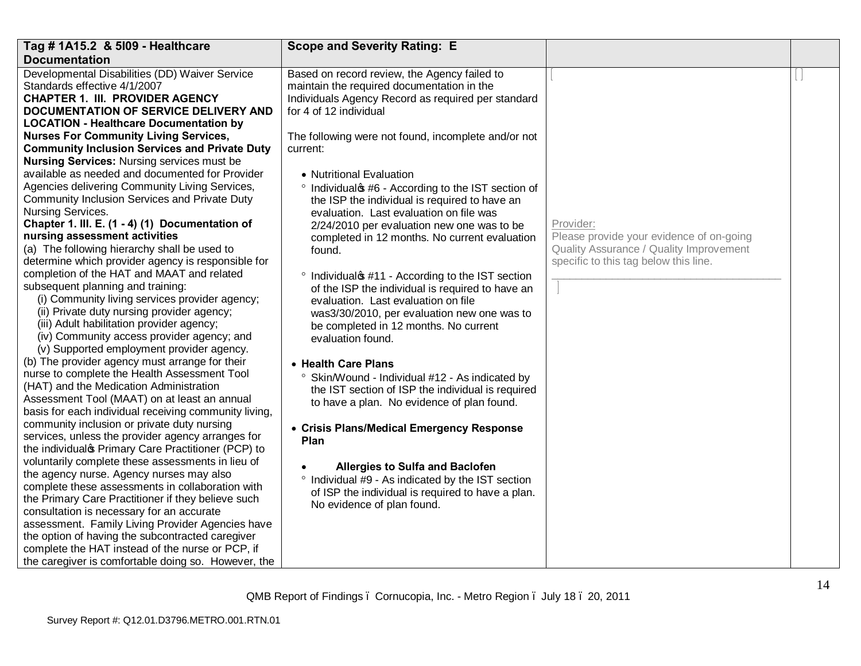| Tag # 1A15.2 & 5109 - Healthcare                                                                     | <b>Scope and Severity Rating: E</b>                  |                                          |  |
|------------------------------------------------------------------------------------------------------|------------------------------------------------------|------------------------------------------|--|
| <b>Documentation</b>                                                                                 |                                                      |                                          |  |
| Developmental Disabilities (DD) Waiver Service                                                       | Based on record review, the Agency failed to         |                                          |  |
| Standards effective 4/1/2007                                                                         | maintain the required documentation in the           |                                          |  |
| <b>CHAPTER 1. III. PROVIDER AGENCY</b>                                                               | Individuals Agency Record as required per standard   |                                          |  |
| DOCUMENTATION OF SERVICE DELIVERY AND                                                                | for 4 of 12 individual                               |                                          |  |
| <b>LOCATION - Healthcare Documentation by</b>                                                        |                                                      |                                          |  |
| <b>Nurses For Community Living Services,</b>                                                         | The following were not found, incomplete and/or not  |                                          |  |
| <b>Community Inclusion Services and Private Duty</b>                                                 | current:                                             |                                          |  |
| <b>Nursing Services: Nursing services must be</b>                                                    |                                                      |                                          |  |
| available as needed and documented for Provider                                                      | • Nutritional Evaluation                             |                                          |  |
| Agencies delivering Community Living Services,                                                       | ° Individual \$ #6 - According to the IST section of |                                          |  |
| Community Inclusion Services and Private Duty                                                        | the ISP the individual is required to have an        |                                          |  |
| <b>Nursing Services.</b>                                                                             | evaluation. Last evaluation on file was              |                                          |  |
| Chapter 1. III. E. (1 - 4) (1) Documentation of                                                      | 2/24/2010 per evaluation new one was to be           | Provider:                                |  |
| nursing assessment activities                                                                        | completed in 12 months. No current evaluation        | Please provide your evidence of on-going |  |
| (a) The following hierarchy shall be used to                                                         | found.                                               | Quality Assurance / Quality Improvement  |  |
| determine which provider agency is responsible for                                                   |                                                      | specific to this tag below this line.    |  |
| completion of the HAT and MAAT and related                                                           | ° Individual \$ #11 - According to the IST section   |                                          |  |
| subsequent planning and training:                                                                    | of the ISP the individual is required to have an     |                                          |  |
| (i) Community living services provider agency;                                                       | evaluation. Last evaluation on file                  |                                          |  |
| (ii) Private duty nursing provider agency;                                                           | was3/30/2010, per evaluation new one was to          |                                          |  |
| (iii) Adult habilitation provider agency;                                                            | be completed in 12 months. No current                |                                          |  |
| (iv) Community access provider agency; and                                                           | evaluation found.                                    |                                          |  |
| (v) Supported employment provider agency.                                                            |                                                      |                                          |  |
| (b) The provider agency must arrange for their                                                       | • Health Care Plans                                  |                                          |  |
| nurse to complete the Health Assessment Tool                                                         | ° Skin/Wound - Individual #12 - As indicated by      |                                          |  |
| (HAT) and the Medication Administration                                                              | the IST section of ISP the individual is required    |                                          |  |
| Assessment Tool (MAAT) on at least an annual                                                         | to have a plan. No evidence of plan found.           |                                          |  |
| basis for each individual receiving community living,<br>community inclusion or private duty nursing |                                                      |                                          |  |
| services, unless the provider agency arranges for                                                    | • Crisis Plans/Medical Emergency Response            |                                          |  |
| the individualos Primary Care Practitioner (PCP) to                                                  | Plan                                                 |                                          |  |
| voluntarily complete these assessments in lieu of                                                    |                                                      |                                          |  |
| the agency nurse. Agency nurses may also                                                             | <b>Allergies to Sulfa and Baclofen</b>               |                                          |  |
| complete these assessments in collaboration with                                                     | Individual #9 - As indicated by the IST section      |                                          |  |
| the Primary Care Practitioner if they believe such                                                   | of ISP the individual is required to have a plan.    |                                          |  |
| consultation is necessary for an accurate                                                            | No evidence of plan found.                           |                                          |  |
| assessment. Family Living Provider Agencies have                                                     |                                                      |                                          |  |
| the option of having the subcontracted caregiver                                                     |                                                      |                                          |  |
| complete the HAT instead of the nurse or PCP, if                                                     |                                                      |                                          |  |
| the caregiver is comfortable doing so. However, the                                                  |                                                      |                                          |  |
|                                                                                                      |                                                      |                                          |  |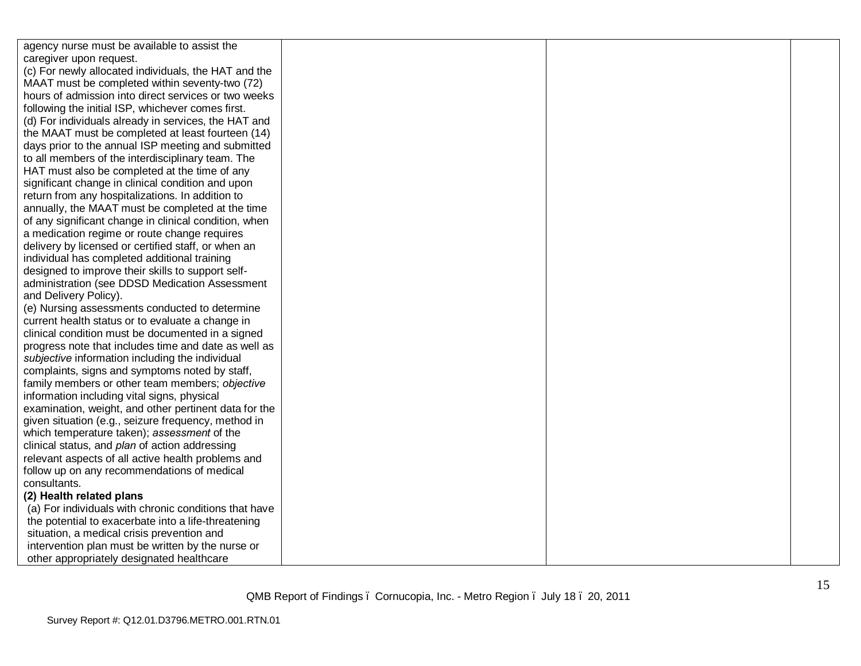| agency nurse must be available to assist the          |  |  |
|-------------------------------------------------------|--|--|
| caregiver upon request.                               |  |  |
| (c) For newly allocated individuals, the HAT and the  |  |  |
| MAAT must be completed within seventy-two (72)        |  |  |
| hours of admission into direct services or two weeks  |  |  |
| following the initial ISP, whichever comes first.     |  |  |
| (d) For individuals already in services, the HAT and  |  |  |
| the MAAT must be completed at least fourteen (14)     |  |  |
| days prior to the annual ISP meeting and submitted    |  |  |
| to all members of the interdisciplinary team. The     |  |  |
| HAT must also be completed at the time of any         |  |  |
| significant change in clinical condition and upon     |  |  |
| return from any hospitalizations. In addition to      |  |  |
| annually, the MAAT must be completed at the time      |  |  |
| of any significant change in clinical condition, when |  |  |
| a medication regime or route change requires          |  |  |
| delivery by licensed or certified staff, or when an   |  |  |
| individual has completed additional training          |  |  |
| designed to improve their skills to support self-     |  |  |
| administration (see DDSD Medication Assessment        |  |  |
| and Delivery Policy).                                 |  |  |
| (e) Nursing assessments conducted to determine        |  |  |
| current health status or to evaluate a change in      |  |  |
| clinical condition must be documented in a signed     |  |  |
| progress note that includes time and date as well as  |  |  |
| subjective information including the individual       |  |  |
| complaints, signs and symptoms noted by staff,        |  |  |
| family members or other team members; objective       |  |  |
| information including vital signs, physical           |  |  |
| examination, weight, and other pertinent data for the |  |  |
| given situation (e.g., seizure frequency, method in   |  |  |
| which temperature taken); assessment of the           |  |  |
| clinical status, and plan of action addressing        |  |  |
| relevant aspects of all active health problems and    |  |  |
| follow up on any recommendations of medical           |  |  |
| consultants.                                          |  |  |
| (2) Health related plans                              |  |  |
| (a) For individuals with chronic conditions that have |  |  |
| the potential to exacerbate into a life-threatening   |  |  |
| situation, a medical crisis prevention and            |  |  |
| intervention plan must be written by the nurse or     |  |  |
| other appropriately designated healthcare             |  |  |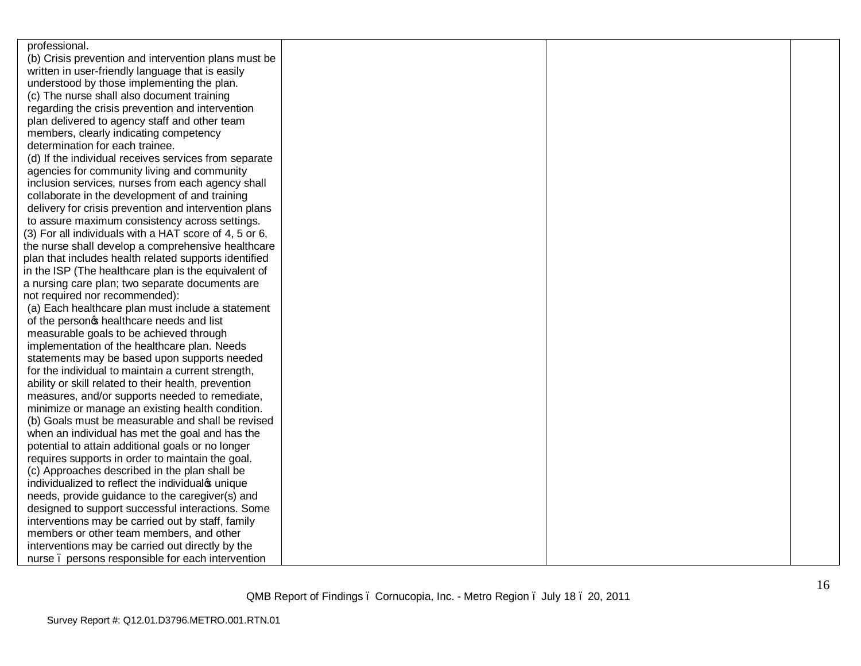| professional.                                          |  |  |
|--------------------------------------------------------|--|--|
| (b) Crisis prevention and intervention plans must be   |  |  |
| written in user-friendly language that is easily       |  |  |
| understood by those implementing the plan.             |  |  |
| (c) The nurse shall also document training             |  |  |
| regarding the crisis prevention and intervention       |  |  |
| plan delivered to agency staff and other team          |  |  |
| members, clearly indicating competency                 |  |  |
| determination for each trainee.                        |  |  |
| (d) If the individual receives services from separate  |  |  |
| agencies for community living and community            |  |  |
| inclusion services, nurses from each agency shall      |  |  |
| collaborate in the development of and training         |  |  |
| delivery for crisis prevention and intervention plans  |  |  |
| to assure maximum consistency across settings.         |  |  |
| (3) For all individuals with a HAT score of 4, 5 or 6, |  |  |
| the nurse shall develop a comprehensive healthcare     |  |  |
| plan that includes health related supports identified  |  |  |
| in the ISP (The healthcare plan is the equivalent of   |  |  |
| a nursing care plan; two separate documents are        |  |  |
| not required nor recommended):                         |  |  |
| (a) Each healthcare plan must include a statement      |  |  |
| of the person phealthcare needs and list               |  |  |
| measurable goals to be achieved through                |  |  |
| implementation of the healthcare plan. Needs           |  |  |
| statements may be based upon supports needed           |  |  |
| for the individual to maintain a current strength,     |  |  |
| ability or skill related to their health, prevention   |  |  |
| measures, and/or supports needed to remediate,         |  |  |
| minimize or manage an existing health condition.       |  |  |
| (b) Goals must be measurable and shall be revised      |  |  |
| when an individual has met the goal and has the        |  |  |
| potential to attain additional goals or no longer      |  |  |
| requires supports in order to maintain the goal.       |  |  |
| (c) Approaches described in the plan shall be          |  |  |
| individualized to reflect the individual wunique       |  |  |
| needs, provide guidance to the caregiver(s) and        |  |  |
| designed to support successful interactions. Some      |  |  |
| interventions may be carried out by staff, family      |  |  |
| members or other team members, and other               |  |  |
| interventions may be carried out directly by the       |  |  |
| nurse. persons responsible for each intervention       |  |  |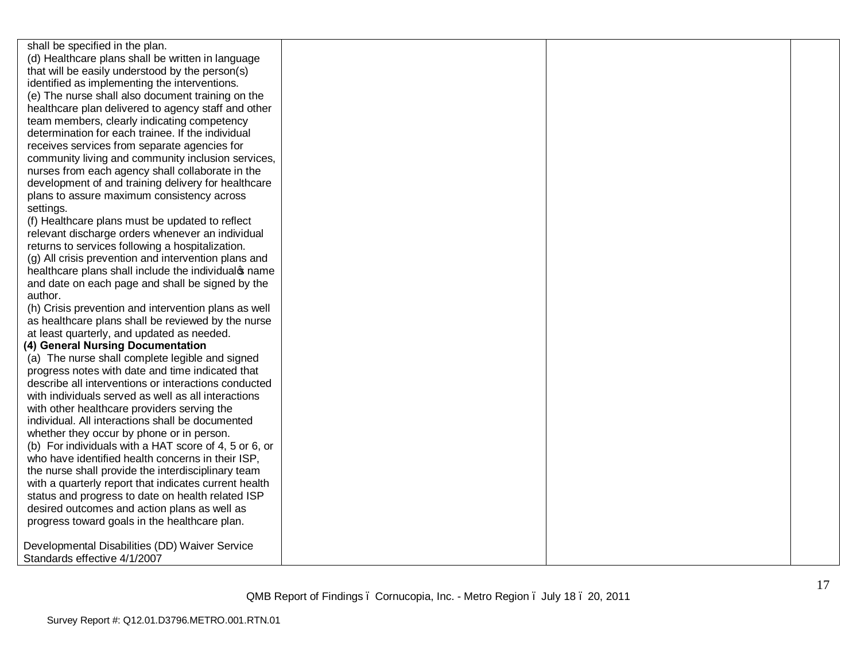shall be specified in the plan. (d) Healthcare plans shall be written in language that will be easily understood by the person(s) identified as implementing the interventions. (e) The nurse shall also document training on the healthcare plan delivered to agency staff and other team members, clearly indicating competency determination for each trainee. If the individual receives services from separate agencies for community living and community inclusion services, nurses from each agency shall collaborate in the development of and training delivery for healthcare plans to assure maximum consistency across settings. (f) Healthcare plans must be updated to reflect relevant discharge orders whenever an individual returns to services following a hospitalization. (g) All crisis prevention and intervention plans and healthcare plans shall include the individual name and date on each page and shall be signed by the author. (h) Crisis prevention and intervention plans as well as healthcare plans shall be reviewed by the nurse at least quarterly, and updated as needed. **(4) General Nursing Documentation** (a) The nurse shall complete legible and signed progress notes with date and time indicated that describe all interventions or interactions conducted with individuals served as well as all interactions with other healthcare providers serving the individual. All interactions shall be documented whether they occur by phone or in person. (b) For individuals with a HAT score of 4, 5 or 6, or who have identified health concerns in their ISP, the nurse shall provide the interdisciplinary team with a quarterly report that indicates current health status and progress to date on health related ISP desired outcomes and action plans as well as progress toward goals in the healthcare plan. Developmental Disabilities (DD) Waiver Service Standards effective 4/1/2007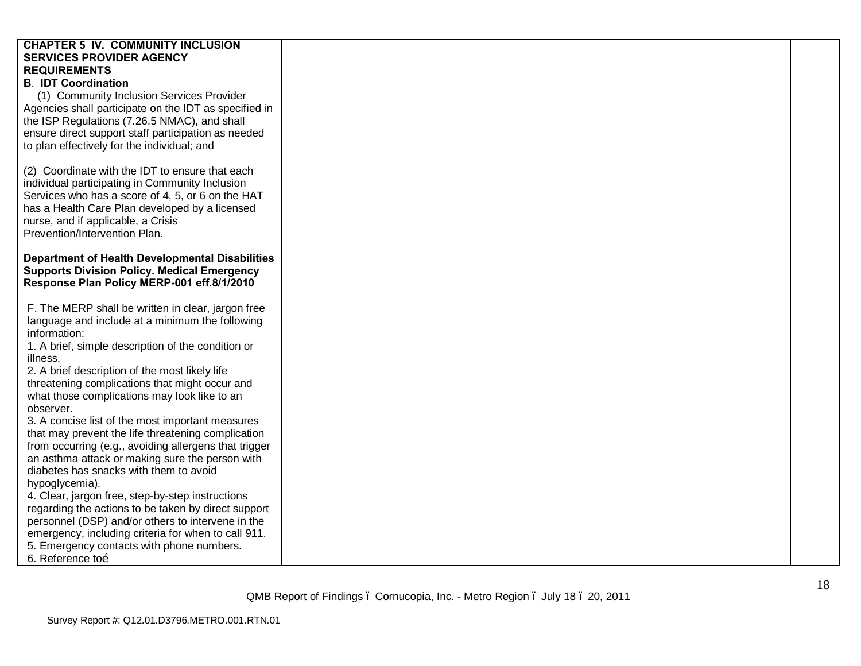| <b>CHAPTER 5 IV. COMMUNITY INCLUSION</b><br><b>SERVICES PROVIDER AGENCY</b><br><b>REQUIREMENTS</b>  |  |  |
|-----------------------------------------------------------------------------------------------------|--|--|
| <b>B. IDT Coordination</b><br>(1) Community Inclusion Services Provider                             |  |  |
| Agencies shall participate on the IDT as specified in                                               |  |  |
| the ISP Regulations (7.26.5 NMAC), and shall                                                        |  |  |
| ensure direct support staff participation as needed                                                 |  |  |
| to plan effectively for the individual; and                                                         |  |  |
| (2) Coordinate with the IDT to ensure that each                                                     |  |  |
| individual participating in Community Inclusion                                                     |  |  |
| Services who has a score of 4, 5, or 6 on the HAT<br>has a Health Care Plan developed by a licensed |  |  |
| nurse, and if applicable, a Crisis                                                                  |  |  |
| Prevention/Intervention Plan.                                                                       |  |  |
| <b>Department of Health Developmental Disabilities</b>                                              |  |  |
| <b>Supports Division Policy. Medical Emergency</b>                                                  |  |  |
| Response Plan Policy MERP-001 eff.8/1/2010                                                          |  |  |
| F. The MERP shall be written in clear, jargon free                                                  |  |  |
| language and include at a minimum the following                                                     |  |  |
| information:                                                                                        |  |  |
| 1. A brief, simple description of the condition or                                                  |  |  |
| illness.<br>2. A brief description of the most likely life                                          |  |  |
| threatening complications that might occur and                                                      |  |  |
| what those complications may look like to an                                                        |  |  |
| observer.<br>3. A concise list of the most important measures                                       |  |  |
| that may prevent the life threatening complication                                                  |  |  |
| from occurring (e.g., avoiding allergens that trigger                                               |  |  |
| an asthma attack or making sure the person with                                                     |  |  |
| diabetes has snacks with them to avoid<br>hypoglycemia).                                            |  |  |
| 4. Clear, jargon free, step-by-step instructions                                                    |  |  |
| regarding the actions to be taken by direct support                                                 |  |  |
| personnel (DSP) and/or others to intervene in the                                                   |  |  |
| emergency, including criteria for when to call 911.<br>5. Emergency contacts with phone numbers.    |  |  |
| 6. Reference toõ                                                                                    |  |  |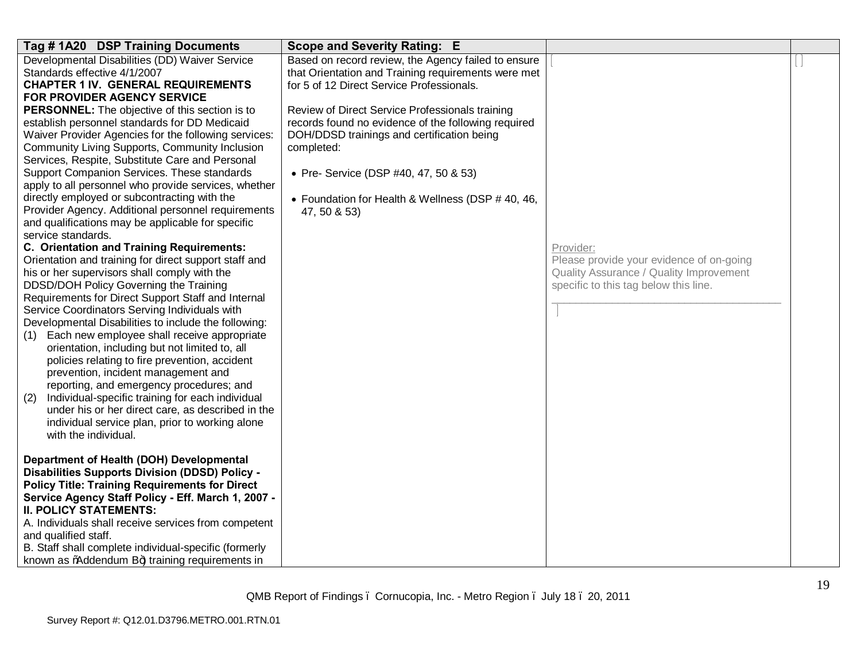| Tag #1A20 DSP Training Documents                        | <b>Scope and Severity Rating: E</b>                 |                                          |  |
|---------------------------------------------------------|-----------------------------------------------------|------------------------------------------|--|
| Developmental Disabilities (DD) Waiver Service          | Based on record review, the Agency failed to ensure |                                          |  |
| Standards effective 4/1/2007                            | that Orientation and Training requirements were met |                                          |  |
| <b>CHAPTER 1 IV. GENERAL REQUIREMENTS</b>               | for 5 of 12 Direct Service Professionals.           |                                          |  |
| FOR PROVIDER AGENCY SERVICE                             |                                                     |                                          |  |
| <b>PERSONNEL:</b> The objective of this section is to   | Review of Direct Service Professionals training     |                                          |  |
| establish personnel standards for DD Medicaid           | records found no evidence of the following required |                                          |  |
| Waiver Provider Agencies for the following services:    | DOH/DDSD trainings and certification being          |                                          |  |
| Community Living Supports, Community Inclusion          | completed:                                          |                                          |  |
| Services, Respite, Substitute Care and Personal         |                                                     |                                          |  |
| Support Companion Services. These standards             | • Pre- Service (DSP #40, 47, 50 & 53)               |                                          |  |
| apply to all personnel who provide services, whether    |                                                     |                                          |  |
| directly employed or subcontracting with the            | • Foundation for Health & Wellness (DSP #40, 46,    |                                          |  |
| Provider Agency. Additional personnel requirements      | 47, 50 & 53)                                        |                                          |  |
| and qualifications may be applicable for specific       |                                                     |                                          |  |
| service standards.                                      |                                                     |                                          |  |
| C. Orientation and Training Requirements:               |                                                     | Provider:                                |  |
| Orientation and training for direct support staff and   |                                                     | Please provide your evidence of on-going |  |
| his or her supervisors shall comply with the            |                                                     | Quality Assurance / Quality Improvement  |  |
| DDSD/DOH Policy Governing the Training                  |                                                     | specific to this tag below this line.    |  |
| Requirements for Direct Support Staff and Internal      |                                                     |                                          |  |
| Service Coordinators Serving Individuals with           |                                                     |                                          |  |
| Developmental Disabilities to include the following:    |                                                     |                                          |  |
| Each new employee shall receive appropriate<br>(1)      |                                                     |                                          |  |
| orientation, including but not limited to, all          |                                                     |                                          |  |
| policies relating to fire prevention, accident          |                                                     |                                          |  |
| prevention, incident management and                     |                                                     |                                          |  |
| reporting, and emergency procedures; and                |                                                     |                                          |  |
| Individual-specific training for each individual<br>(2) |                                                     |                                          |  |
| under his or her direct care, as described in the       |                                                     |                                          |  |
| individual service plan, prior to working alone         |                                                     |                                          |  |
| with the individual.                                    |                                                     |                                          |  |
| Department of Health (DOH) Developmental                |                                                     |                                          |  |
| Disabilities Supports Division (DDSD) Policy -          |                                                     |                                          |  |
| <b>Policy Title: Training Requirements for Direct</b>   |                                                     |                                          |  |
| Service Agency Staff Policy - Eff. March 1, 2007 -      |                                                     |                                          |  |
| <b>II. POLICY STATEMENTS:</b>                           |                                                     |                                          |  |
| A. Individuals shall receive services from competent    |                                                     |                                          |  |
| and qualified staff.                                    |                                                     |                                          |  |
| B. Staff shall complete individual-specific (formerly   |                                                     |                                          |  |
| known as %Addendum B+ training requirements in          |                                                     |                                          |  |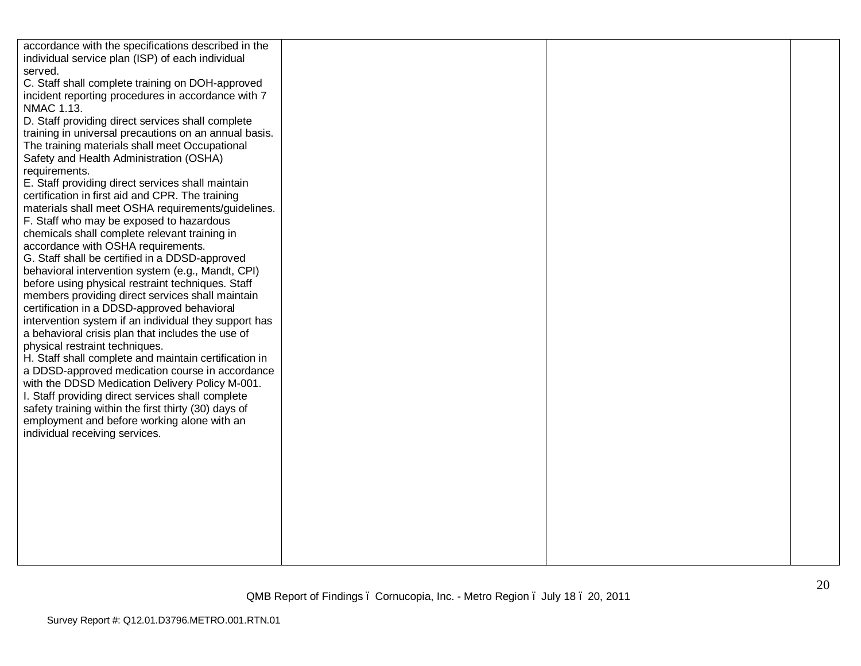| accordance with the specifications described in the   |  |  |
|-------------------------------------------------------|--|--|
| individual service plan (ISP) of each individual      |  |  |
| served.                                               |  |  |
| C. Staff shall complete training on DOH-approved      |  |  |
| incident reporting procedures in accordance with 7    |  |  |
| NMAC 1.13.                                            |  |  |
| D. Staff providing direct services shall complete     |  |  |
| training in universal precautions on an annual basis. |  |  |
| The training materials shall meet Occupational        |  |  |
| Safety and Health Administration (OSHA)               |  |  |
| requirements.                                         |  |  |
| E. Staff providing direct services shall maintain     |  |  |
| certification in first aid and CPR. The training      |  |  |
| materials shall meet OSHA requirements/guidelines.    |  |  |
| F. Staff who may be exposed to hazardous              |  |  |
| chemicals shall complete relevant training in         |  |  |
| accordance with OSHA requirements.                    |  |  |
| G. Staff shall be certified in a DDSD-approved        |  |  |
| behavioral intervention system (e.g., Mandt, CPI)     |  |  |
| before using physical restraint techniques. Staff     |  |  |
| members providing direct services shall maintain      |  |  |
| certification in a DDSD-approved behavioral           |  |  |
| intervention system if an individual they support has |  |  |
| a behavioral crisis plan that includes the use of     |  |  |
| physical restraint techniques.                        |  |  |
| H. Staff shall complete and maintain certification in |  |  |
| a DDSD-approved medication course in accordance       |  |  |
| with the DDSD Medication Delivery Policy M-001.       |  |  |
| I. Staff providing direct services shall complete     |  |  |
| safety training within the first thirty (30) days of  |  |  |
| employment and before working alone with an           |  |  |
| individual receiving services.                        |  |  |
|                                                       |  |  |
|                                                       |  |  |
|                                                       |  |  |
|                                                       |  |  |
|                                                       |  |  |
|                                                       |  |  |
|                                                       |  |  |
|                                                       |  |  |
|                                                       |  |  |
|                                                       |  |  |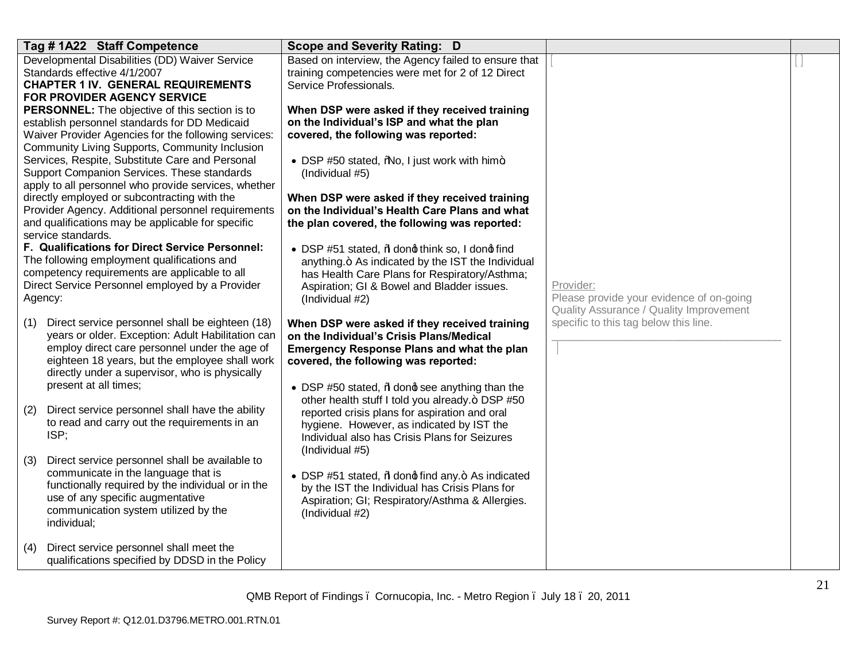| Tag #1A22 Staff Competence                                                                                                                                                                                                                                       | <b>Scope and Severity Rating: D</b>                                                                                                                                                                                                                                |                                                                                                  |  |
|------------------------------------------------------------------------------------------------------------------------------------------------------------------------------------------------------------------------------------------------------------------|--------------------------------------------------------------------------------------------------------------------------------------------------------------------------------------------------------------------------------------------------------------------|--------------------------------------------------------------------------------------------------|--|
| Developmental Disabilities (DD) Waiver Service<br>Standards effective 4/1/2007<br><b>CHAPTER 1 IV. GENERAL REQUIREMENTS</b><br>FOR PROVIDER AGENCY SERVICE                                                                                                       | Based on interview, the Agency failed to ensure that<br>training competencies were met for 2 of 12 Direct<br>Service Professionals.                                                                                                                                |                                                                                                  |  |
| <b>PERSONNEL:</b> The objective of this section is to<br>establish personnel standards for DD Medicaid<br>Waiver Provider Agencies for the following services:<br>Community Living Supports, Community Inclusion                                                 | When DSP were asked if they received training<br>on the Individual's ISP and what the plan<br>covered, the following was reported:                                                                                                                                 |                                                                                                  |  |
| Services, Respite, Substitute Care and Personal<br>Support Companion Services. These standards<br>apply to all personnel who provide services, whether                                                                                                           | • DSP #50 stated, %No, I just work with him+<br>(Individual #5)                                                                                                                                                                                                    |                                                                                                  |  |
| directly employed or subcontracting with the<br>Provider Agency. Additional personnel requirements<br>and qualifications may be applicable for specific<br>service standards.                                                                                    | When DSP were asked if they received training<br>on the Individual's Health Care Plans and what<br>the plan covered, the following was reported:                                                                                                                   |                                                                                                  |  |
| F. Qualifications for Direct Service Personnel:<br>The following employment qualifications and<br>competency requirements are applicable to all<br>Direct Service Personnel employed by a Provider<br>Agency:                                                    | • DSP #51 stated, %dong think so, I dong find<br>anything.+ As indicated by the IST the Individual<br>has Health Care Plans for Respiratory/Asthma;<br>Aspiration; GI & Bowel and Bladder issues.<br>(Individual #2)                                               | Provider:<br>Please provide your evidence of on-going<br>Quality Assurance / Quality Improvement |  |
| Direct service personnel shall be eighteen (18)<br>(1)<br>years or older. Exception: Adult Habilitation can<br>employ direct care personnel under the age of<br>eighteen 18 years, but the employee shall work<br>directly under a supervisor, who is physically | When DSP were asked if they received training<br>on the Individual's Crisis Plans/Medical<br><b>Emergency Response Plans and what the plan</b><br>covered, the following was reported:                                                                             | specific to this tag below this line.                                                            |  |
| present at all times;<br>Direct service personnel shall have the ability<br>(2)<br>to read and carry out the requirements in an<br>ISP;                                                                                                                          | • DSP #50 stated, %dong see anything than the<br>other health stuff I told you already.+ DSP #50<br>reported crisis plans for aspiration and oral<br>hygiene. However, as indicated by IST the<br>Individual also has Crisis Plans for Seizures<br>(Individual #5) |                                                                                                  |  |
| Direct service personnel shall be available to<br>(3)<br>communicate in the language that is<br>functionally required by the individual or in the<br>use of any specific augmentative<br>communication system utilized by the<br>individual;                     | • DSP #51 stated, %dong find any .+ As indicated<br>by the IST the Individual has Crisis Plans for<br>Aspiration; GI; Respiratory/Asthma & Allergies.<br>(Individual #2)                                                                                           |                                                                                                  |  |
| Direct service personnel shall meet the<br>(4)<br>qualifications specified by DDSD in the Policy                                                                                                                                                                 |                                                                                                                                                                                                                                                                    |                                                                                                  |  |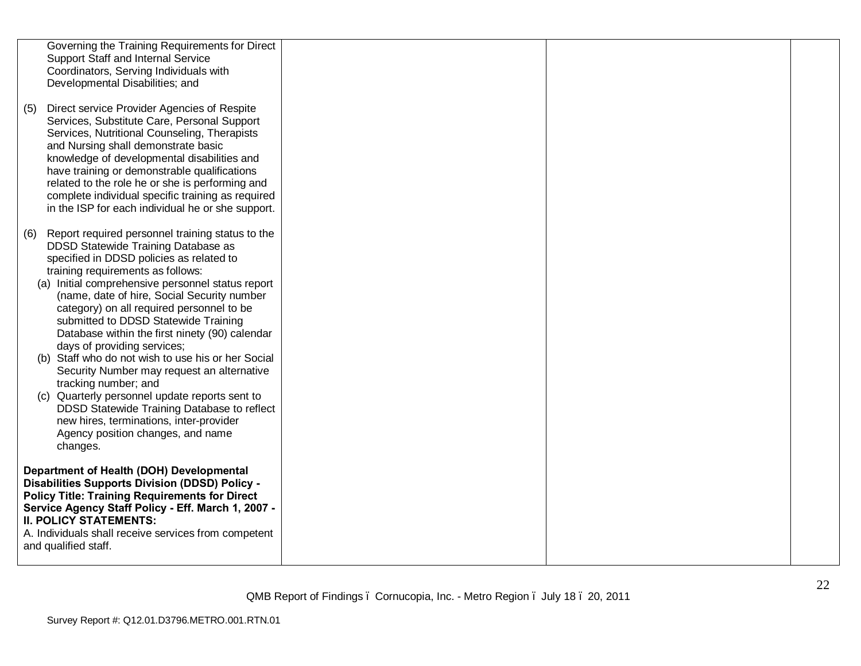|     | Governing the Training Requirements for Direct        |  |  |
|-----|-------------------------------------------------------|--|--|
|     | Support Staff and Internal Service                    |  |  |
|     | Coordinators, Serving Individuals with                |  |  |
|     | Developmental Disabilities; and                       |  |  |
|     |                                                       |  |  |
|     |                                                       |  |  |
| (5) | Direct service Provider Agencies of Respite           |  |  |
|     | Services, Substitute Care, Personal Support           |  |  |
|     | Services, Nutritional Counseling, Therapists          |  |  |
|     | and Nursing shall demonstrate basic                   |  |  |
|     | knowledge of developmental disabilities and           |  |  |
|     | have training or demonstrable qualifications          |  |  |
|     | related to the role he or she is performing and       |  |  |
|     | complete individual specific training as required     |  |  |
|     | in the ISP for each individual he or she support.     |  |  |
|     |                                                       |  |  |
| (6) | Report required personnel training status to the      |  |  |
|     | DDSD Statewide Training Database as                   |  |  |
|     | specified in DDSD policies as related to              |  |  |
|     | training requirements as follows:                     |  |  |
|     | (a) Initial comprehensive personnel status report     |  |  |
|     | (name, date of hire, Social Security number           |  |  |
|     | category) on all required personnel to be             |  |  |
|     | submitted to DDSD Statewide Training                  |  |  |
|     | Database within the first ninety (90) calendar        |  |  |
|     | days of providing services;                           |  |  |
|     | (b) Staff who do not wish to use his or her Social    |  |  |
|     | Security Number may request an alternative            |  |  |
|     | tracking number; and                                  |  |  |
|     | (c) Quarterly personnel update reports sent to        |  |  |
|     | DDSD Statewide Training Database to reflect           |  |  |
|     | new hires, terminations, inter-provider               |  |  |
|     |                                                       |  |  |
|     | Agency position changes, and name                     |  |  |
|     | changes.                                              |  |  |
|     |                                                       |  |  |
|     | Department of Health (DOH) Developmental              |  |  |
|     | Disabilities Supports Division (DDSD) Policy -        |  |  |
|     | <b>Policy Title: Training Requirements for Direct</b> |  |  |
|     | Service Agency Staff Policy - Eff. March 1, 2007 -    |  |  |
|     | <b>II. POLICY STATEMENTS:</b>                         |  |  |
|     | A. Individuals shall receive services from competent  |  |  |
|     | and qualified staff.                                  |  |  |
|     |                                                       |  |  |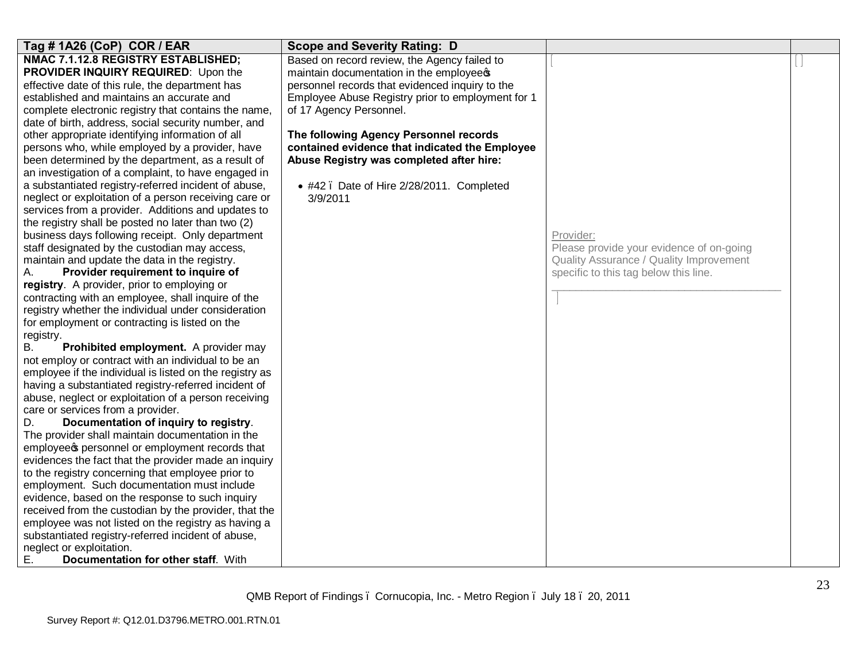| Tag #1A26 (CoP) COR / EAR                               | <b>Scope and Severity Rating: D</b>               |                                          |  |
|---------------------------------------------------------|---------------------------------------------------|------------------------------------------|--|
| NMAC 7.1.12.8 REGISTRY ESTABLISHED;                     | Based on record review, the Agency failed to      |                                          |  |
| PROVIDER INQUIRY REQUIRED: Upon the                     | maintain documentation in the employees           |                                          |  |
| effective date of this rule, the department has         | personnel records that evidenced inquiry to the   |                                          |  |
| established and maintains an accurate and               | Employee Abuse Registry prior to employment for 1 |                                          |  |
| complete electronic registry that contains the name,    | of 17 Agency Personnel.                           |                                          |  |
| date of birth, address, social security number, and     |                                                   |                                          |  |
| other appropriate identifying information of all        | The following Agency Personnel records            |                                          |  |
| persons who, while employed by a provider, have         | contained evidence that indicated the Employee    |                                          |  |
| been determined by the department, as a result of       | Abuse Registry was completed after hire:          |                                          |  |
| an investigation of a complaint, to have engaged in     |                                                   |                                          |  |
| a substantiated registry-referred incident of abuse,    | • #42. Date of Hire 2/28/2011. Completed          |                                          |  |
| neglect or exploitation of a person receiving care or   | 3/9/2011                                          |                                          |  |
| services from a provider. Additions and updates to      |                                                   |                                          |  |
| the registry shall be posted no later than two (2)      |                                                   |                                          |  |
| business days following receipt. Only department        |                                                   | Provider:                                |  |
| staff designated by the custodian may access,           |                                                   | Please provide your evidence of on-going |  |
| maintain and update the data in the registry.           |                                                   | Quality Assurance / Quality Improvement  |  |
| Provider requirement to inquire of<br>А.                |                                                   | specific to this tag below this line.    |  |
| registry. A provider, prior to employing or             |                                                   |                                          |  |
| contracting with an employee, shall inquire of the      |                                                   |                                          |  |
| registry whether the individual under consideration     |                                                   |                                          |  |
| for employment or contracting is listed on the          |                                                   |                                          |  |
| registry.                                               |                                                   |                                          |  |
| Prohibited employment. A provider may<br>В.             |                                                   |                                          |  |
| not employ or contract with an individual to be an      |                                                   |                                          |  |
| employee if the individual is listed on the registry as |                                                   |                                          |  |
| having a substantiated registry-referred incident of    |                                                   |                                          |  |
| abuse, neglect or exploitation of a person receiving    |                                                   |                                          |  |
| care or services from a provider.                       |                                                   |                                          |  |
| Documentation of inquiry to registry.<br>D.             |                                                   |                                          |  |
| The provider shall maintain documentation in the        |                                                   |                                          |  |
| employees personnel or employment records that          |                                                   |                                          |  |
| evidences the fact that the provider made an inquiry    |                                                   |                                          |  |
| to the registry concerning that employee prior to       |                                                   |                                          |  |
| employment. Such documentation must include             |                                                   |                                          |  |
| evidence, based on the response to such inquiry         |                                                   |                                          |  |
| received from the custodian by the provider, that the   |                                                   |                                          |  |
| employee was not listed on the registry as having a     |                                                   |                                          |  |
| substantiated registry-referred incident of abuse,      |                                                   |                                          |  |
| neglect or exploitation.                                |                                                   |                                          |  |
| Documentation for other staff. With<br>Е.               |                                                   |                                          |  |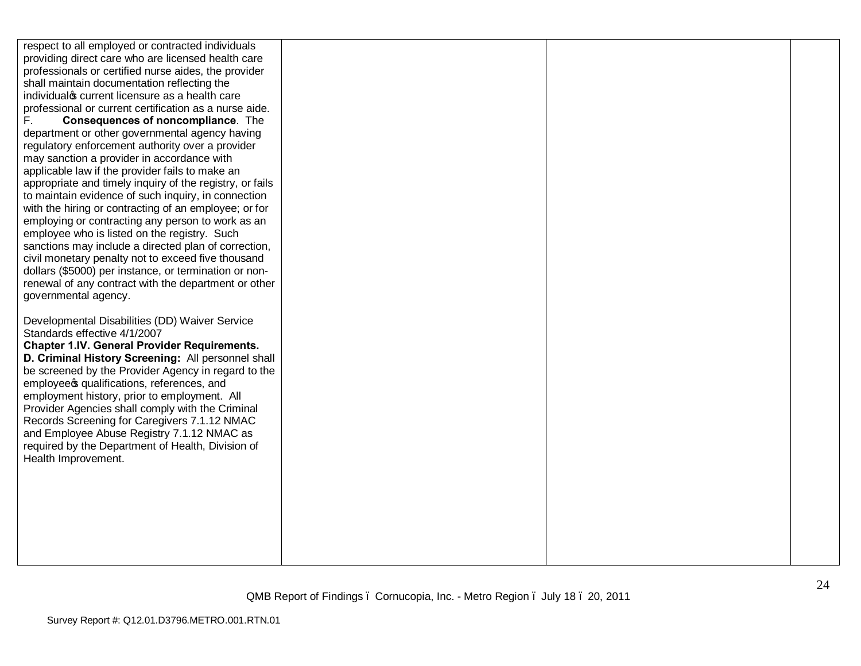| respect to all employed or contracted individuals<br>providing direct care who are licensed health care      |  |  |
|--------------------------------------------------------------------------------------------------------------|--|--|
| professionals or certified nurse aides, the provider                                                         |  |  |
| shall maintain documentation reflecting the                                                                  |  |  |
| individualos current licensure as a health care                                                              |  |  |
| professional or current certification as a nurse aide.                                                       |  |  |
| Consequences of noncompliance. The<br>F.                                                                     |  |  |
| department or other governmental agency having                                                               |  |  |
| regulatory enforcement authority over a provider                                                             |  |  |
| may sanction a provider in accordance with                                                                   |  |  |
| applicable law if the provider fails to make an                                                              |  |  |
| appropriate and timely inquiry of the registry, or fails                                                     |  |  |
| to maintain evidence of such inquiry, in connection<br>with the hiring or contracting of an employee; or for |  |  |
| employing or contracting any person to work as an                                                            |  |  |
| employee who is listed on the registry. Such                                                                 |  |  |
| sanctions may include a directed plan of correction,                                                         |  |  |
| civil monetary penalty not to exceed five thousand                                                           |  |  |
| dollars (\$5000) per instance, or termination or non-                                                        |  |  |
| renewal of any contract with the department or other                                                         |  |  |
| governmental agency.                                                                                         |  |  |
| Developmental Disabilities (DD) Waiver Service                                                               |  |  |
| Standards effective 4/1/2007                                                                                 |  |  |
| <b>Chapter 1.IV. General Provider Requirements.</b>                                                          |  |  |
| D. Criminal History Screening: All personnel shall                                                           |  |  |
| be screened by the Provider Agency in regard to the                                                          |  |  |
| employees qualifications, references, and                                                                    |  |  |
| employment history, prior to employment. All                                                                 |  |  |
| Provider Agencies shall comply with the Criminal                                                             |  |  |
| Records Screening for Caregivers 7.1.12 NMAC                                                                 |  |  |
| and Employee Abuse Registry 7.1.12 NMAC as<br>required by the Department of Health, Division of              |  |  |
| Health Improvement.                                                                                          |  |  |
|                                                                                                              |  |  |
|                                                                                                              |  |  |
|                                                                                                              |  |  |
|                                                                                                              |  |  |
|                                                                                                              |  |  |
|                                                                                                              |  |  |
|                                                                                                              |  |  |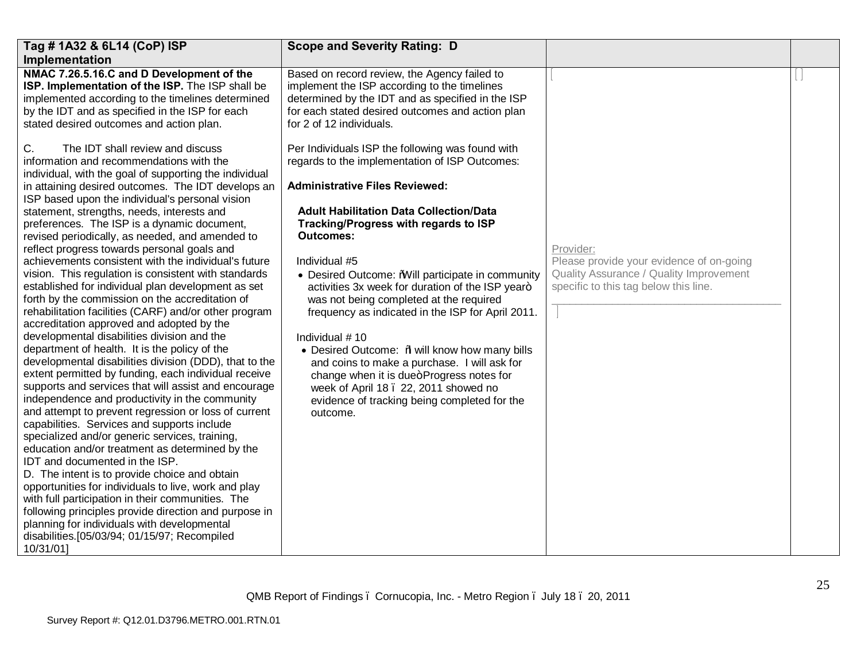| Tag # 1A32 & 6L14 (CoP) ISP                                                                                                                                                                                                                                                                                                                                                                                                                                                                                                                                                                                                                                                                                                                                                                                                                                                                                                                                                                                                                                                                                                                                                                                                                                                                                                                                                                                                                                                                | <b>Scope and Severity Rating: D</b>                                                                                                                                                                                                                                                                                                                                                                                                                                                                                                                                                               |                                                                                                                                           |  |
|--------------------------------------------------------------------------------------------------------------------------------------------------------------------------------------------------------------------------------------------------------------------------------------------------------------------------------------------------------------------------------------------------------------------------------------------------------------------------------------------------------------------------------------------------------------------------------------------------------------------------------------------------------------------------------------------------------------------------------------------------------------------------------------------------------------------------------------------------------------------------------------------------------------------------------------------------------------------------------------------------------------------------------------------------------------------------------------------------------------------------------------------------------------------------------------------------------------------------------------------------------------------------------------------------------------------------------------------------------------------------------------------------------------------------------------------------------------------------------------------|---------------------------------------------------------------------------------------------------------------------------------------------------------------------------------------------------------------------------------------------------------------------------------------------------------------------------------------------------------------------------------------------------------------------------------------------------------------------------------------------------------------------------------------------------------------------------------------------------|-------------------------------------------------------------------------------------------------------------------------------------------|--|
| Implementation                                                                                                                                                                                                                                                                                                                                                                                                                                                                                                                                                                                                                                                                                                                                                                                                                                                                                                                                                                                                                                                                                                                                                                                                                                                                                                                                                                                                                                                                             |                                                                                                                                                                                                                                                                                                                                                                                                                                                                                                                                                                                                   |                                                                                                                                           |  |
| NMAC 7.26.5.16.C and D Development of the<br>ISP. Implementation of the ISP. The ISP shall be<br>implemented according to the timelines determined<br>by the IDT and as specified in the ISP for each<br>stated desired outcomes and action plan.                                                                                                                                                                                                                                                                                                                                                                                                                                                                                                                                                                                                                                                                                                                                                                                                                                                                                                                                                                                                                                                                                                                                                                                                                                          | Based on record review, the Agency failed to<br>implement the ISP according to the timelines<br>determined by the IDT and as specified in the ISP<br>for each stated desired outcomes and action plan<br>for 2 of 12 individuals.                                                                                                                                                                                                                                                                                                                                                                 |                                                                                                                                           |  |
| C.<br>The IDT shall review and discuss<br>information and recommendations with the<br>individual, with the goal of supporting the individual                                                                                                                                                                                                                                                                                                                                                                                                                                                                                                                                                                                                                                                                                                                                                                                                                                                                                                                                                                                                                                                                                                                                                                                                                                                                                                                                               | Per Individuals ISP the following was found with<br>regards to the implementation of ISP Outcomes:                                                                                                                                                                                                                                                                                                                                                                                                                                                                                                |                                                                                                                                           |  |
| in attaining desired outcomes. The IDT develops an                                                                                                                                                                                                                                                                                                                                                                                                                                                                                                                                                                                                                                                                                                                                                                                                                                                                                                                                                                                                                                                                                                                                                                                                                                                                                                                                                                                                                                         | <b>Administrative Files Reviewed:</b>                                                                                                                                                                                                                                                                                                                                                                                                                                                                                                                                                             |                                                                                                                                           |  |
| ISP based upon the individual's personal vision<br>statement, strengths, needs, interests and<br>preferences. The ISP is a dynamic document,<br>revised periodically, as needed, and amended to<br>reflect progress towards personal goals and<br>achievements consistent with the individual's future<br>vision. This regulation is consistent with standards<br>established for individual plan development as set<br>forth by the commission on the accreditation of<br>rehabilitation facilities (CARF) and/or other program<br>accreditation approved and adopted by the<br>developmental disabilities division and the<br>department of health. It is the policy of the<br>developmental disabilities division (DDD), that to the<br>extent permitted by funding, each individual receive<br>supports and services that will assist and encourage<br>independence and productivity in the community<br>and attempt to prevent regression or loss of current<br>capabilities. Services and supports include<br>specialized and/or generic services, training,<br>education and/or treatment as determined by the<br>IDT and documented in the ISP.<br>D. The intent is to provide choice and obtain<br>opportunities for individuals to live, work and play<br>with full participation in their communities. The<br>following principles provide direction and purpose in<br>planning for individuals with developmental<br>disabilities.[05/03/94; 01/15/97; Recompiled<br>10/31/01] | <b>Adult Habilitation Data Collection/Data</b><br>Tracking/Progress with regards to ISP<br>Outcomes:<br>Individual #5<br>• Desired Outcome: %Will participate in community<br>activities 3x week for duration of the ISP year+<br>was not being completed at the required<br>frequency as indicated in the ISP for April 2011.<br>Individual #10<br>• Desired Outcome: % will know how many bills<br>and coins to make a purchase. I will ask for<br>change when it is due+Progress notes for<br>week of April 18. 22, 2011 showed no<br>evidence of tracking being completed for the<br>outcome. | Provider:<br>Please provide your evidence of on-going<br>Quality Assurance / Quality Improvement<br>specific to this tag below this line. |  |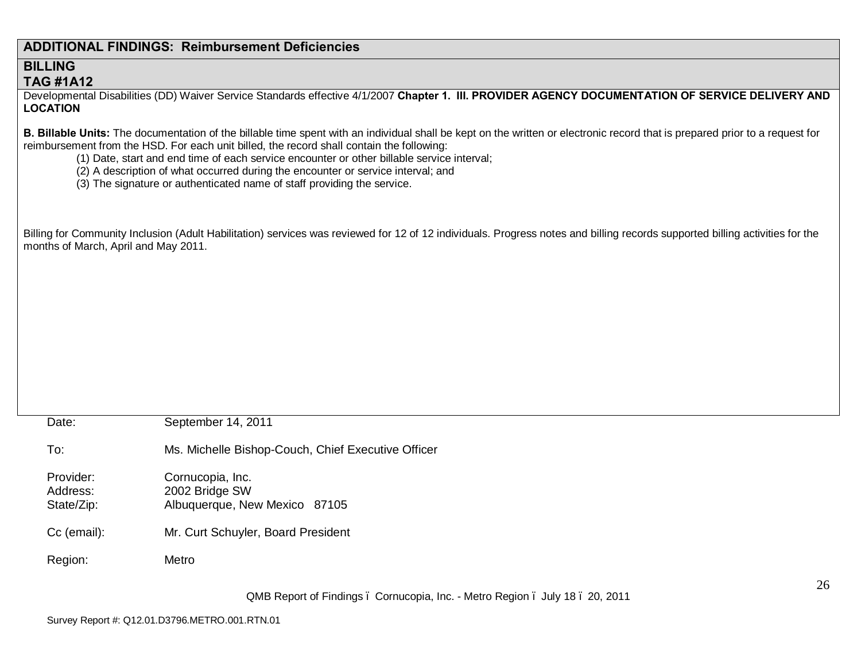# **ADDITIONAL FINDINGS: Reimbursement Deficiencies**

### **BILLING TAG #1A12**

Developmental Disabilities (DD) Waiver Service Standards effective 4/1/2007 **Chapter 1. III. PROVIDER AGENCY DOCUMENTATION OF SERVICE DELIVERY AND LOCATION**

**B. Billable Units:** The documentation of the billable time spent with an individual shall be kept on the written or electronic record that is prepared prior to a request for reimbursement from the HSD. For each unit billed, the record shall contain the following:

- (1) Date, start and end time of each service encounter or other billable service interval;
- (2) A description of what occurred during the encounter or service interval; and
- (3) The signature or authenticated name of staff providing the service.

Billing for Community Inclusion (Adult Habilitation) services was reviewed for 12 of 12 individuals. Progress notes and billing records supported billing activities for the months of March, April and May 2011.

| Date:       | September 14, 2011                                 |
|-------------|----------------------------------------------------|
| To:         | Ms. Michelle Bishop-Couch, Chief Executive Officer |
| Provider:   | Cornucopia, Inc.                                   |
| Address:    | 2002 Bridge SW                                     |
| State/Zip:  | Albuquerque, New Mexico 87105                      |
| Cc (email): | Mr. Curt Schuyler, Board President                 |
| Region:     | Metro                                              |
|             |                                                    |